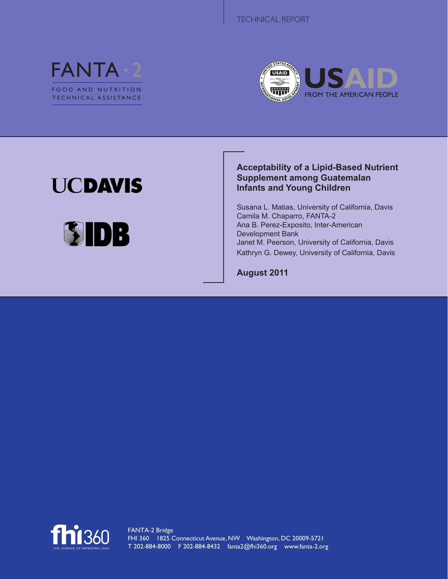



# **UCDAVIS**



## **Acceptability of a Lipid-Based Nutrient Supplement among Guatemalan Infants and Young Children**

Susana L. Matias, University of California, Davis Camila M. Chaparro, FANTA-2 Ana B. Perez-Exposito, Inter-American Development Bank Janet M. Peerson, University of California, Davis Kathryn G. Dewey, University of California, Davis

**August 2011**

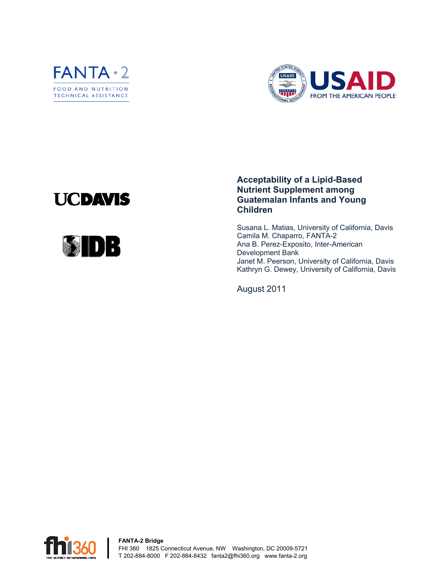



# **UCDAVIS**



### **Acceptability of a Lipid-Based Nutrient Supplement among Guatemalan Infants and Young Children**

Susana L. Matias, University of California, Davis Camila M. Chaparro, FANTA-2 Ana B. Perez-Exposito, Inter-American Development Bank Janet M. Peerson, University of California, Davis Kathryn G. Dewey, University of California, Davis

August 2011

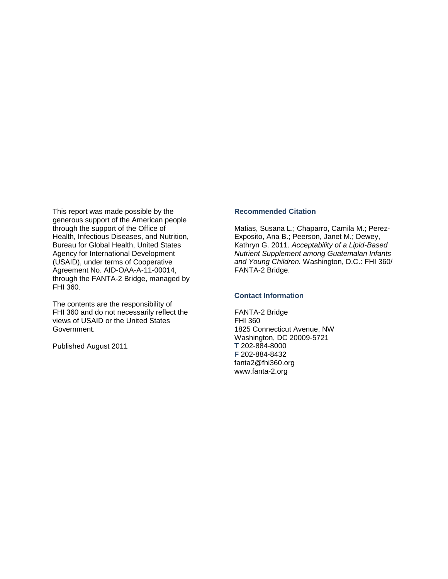This report was made possible by the generous support of the American people through the support of the Office of Health, Infectious Diseases, and Nutrition, Bureau for Global Health, United States Agency for International Development (USAID), under terms of Cooperative Agreement No. AID-OAA-A-11-00014, through the FANTA-2 Bridge, managed by FHI 360.

The contents are the responsibility of FHI 360 and do not necessarily reflect the views of USAID or the United States Government.

Published August 2011

#### **Recommended Citation**

Matias, Susana L.; Chaparro, Camila M.; Perez-Exposito, Ana B.; Peerson, Janet M.; Dewey, Kathryn G. 2011. *Acceptability of a Lipid-Based Nutrient Supplement among Guatemalan Infants and Young Children.* Washington, D.C.: FHI 360/ FANTA-2 Bridge.

#### **Contact Information**

FANTA-2 Bridge FHI 360 1825 Connecticut Avenue, NW Washington, DC 20009-5721 **T** 202-884-8000 **F** 202-884-8432 fantamail@fhi360.org www.fantaproject.org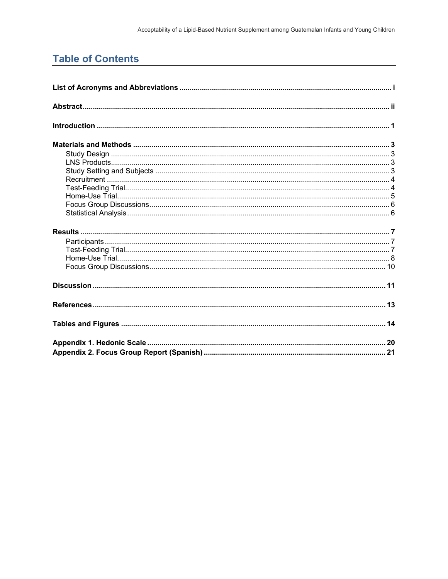## **Table of Contents**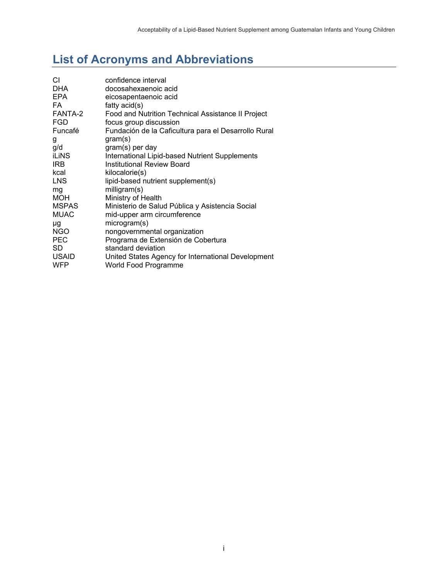# **List of Acronyms and Abbreviations**

| СI           | confidence interval                                  |
|--------------|------------------------------------------------------|
| <b>DHA</b>   | docosahexaenoic acid                                 |
| <b>EPA</b>   | eicosapentaenoic acid                                |
| FA.          | fatty $acid(s)$                                      |
| FANTA-2      | Food and Nutrition Technical Assistance II Project   |
| <b>FGD</b>   | focus group discussion                               |
| Funcafé      | Fundación de la Caficultura para el Desarrollo Rural |
| g            | gram(s)                                              |
| g/d          | gram(s) per day                                      |
| <b>iLiNS</b> | International Lipid-based Nutrient Supplements       |
| <b>IRB</b>   | <b>Institutional Review Board</b>                    |
| kcal         | kilocalorie(s)                                       |
| <b>LNS</b>   | lipid-based nutrient supplement(s)                   |
| mg           | milligram(s)                                         |
| <b>MOH</b>   | Ministry of Health                                   |
| <b>MSPAS</b> | Ministerio de Salud Pública y Asistencia Social      |
| <b>MUAC</b>  | mid-upper arm circumference                          |
| μg           | microgram(s)                                         |
| <b>NGO</b>   | nongovernmental organization                         |
| <b>PEC</b>   | Programa de Extensión de Cobertura                   |
| SD           | standard deviation                                   |
| <b>USAID</b> | United States Agency for International Development   |
| <b>WFP</b>   | World Food Programme                                 |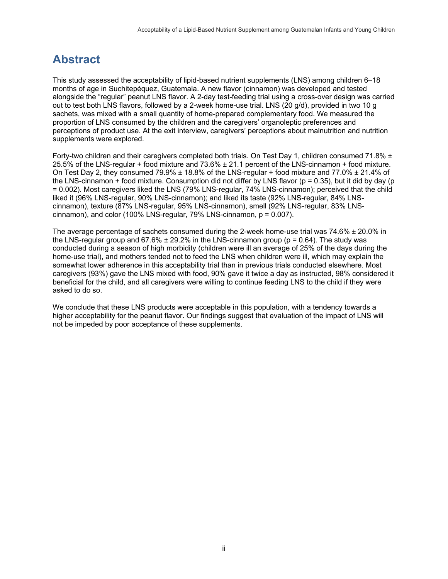# **Abstract**

This study assessed the acceptability of lipid-based nutrient supplements (LNS) among children 6–18 months of age in Suchitepéquez, Guatemala. A new flavor (cinnamon) was developed and tested alongside the "regular" peanut LNS flavor. A 2-day test-feeding trial using a cross-over design was carried out to test both LNS flavors, followed by a 2-week home-use trial. LNS (20 g/d), provided in two 10 g sachets, was mixed with a small quantity of home-prepared complementary food. We measured the proportion of LNS consumed by the children and the caregivers' organoleptic preferences and perceptions of product use. At the exit interview, caregivers' perceptions about malnutrition and nutrition supplements were explored.

Forty-two children and their caregivers completed both trials. On Test Day 1, children consumed 71.8%  $\pm$ 25.5% of the LNS-regular + food mixture and 73.6% ± 21.1 percent of the LNS-cinnamon + food mixture. On Test Day 2, they consumed 79.9%  $\pm$  18.8% of the LNS-regular + food mixture and 77.0%  $\pm$  21.4% of the LNS-cinnamon + food mixture. Consumption did not differ by LNS flavor (p = 0.35), but it did by day (p = 0.002). Most caregivers liked the LNS (79% LNS-regular, 74% LNS-cinnamon); perceived that the child liked it (96% LNS-regular, 90% LNS-cinnamon); and liked its taste (92% LNS-regular, 84% LNScinnamon), texture (87% LNS-regular, 95% LNS-cinnamon), smell (92% LNS-regular, 83% LNScinnamon), and color (100% LNS-regular, 79% LNS-cinnamon,  $p = 0.007$ ).

The average percentage of sachets consumed during the 2-week home-use trial was 74.6% ± 20.0% in the LNS-regular group and  $67.6\% \pm 29.2\%$  in the LNS-cinnamon group ( $p = 0.64$ ). The study was conducted during a season of high morbidity (children were ill an average of 25% of the days during the home-use trial), and mothers tended not to feed the LNS when children were ill, which may explain the somewhat lower adherence in this acceptability trial than in previous trials conducted elsewhere. Most caregivers (93%) gave the LNS mixed with food, 90% gave it twice a day as instructed, 98% considered it beneficial for the child, and all caregivers were willing to continue feeding LNS to the child if they were asked to do so.

We conclude that these LNS products were acceptable in this population, with a tendency towards a higher acceptability for the peanut flavor. Our findings suggest that evaluation of the impact of LNS will not be impeded by poor acceptance of these supplements.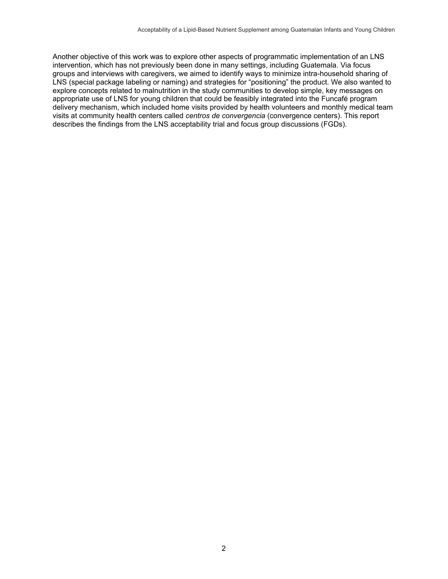Another objective of this work was to explore other aspects of programmatic implementation of an LNS intervention, which has not previously been done in many settings, including Guatemala. Via focus groups and interviews with caregivers, we aimed to identify ways to minimize intra-household sharing of LNS (special package labeling or naming) and strategies for "positioning" the product. We also wanted to explore concepts related to malnutrition in the study communities to develop simple, key messages on appropriate use of LNS for young children that could be feasibly integrated into the Funcafé program delivery mechanism, which included home visits provided by health volunteers and monthly medical team visits at community health centers called *centros de convergencia* (convergence centers). This report describes the findings from the LNS acceptability trial and focus group discussions (FGDs).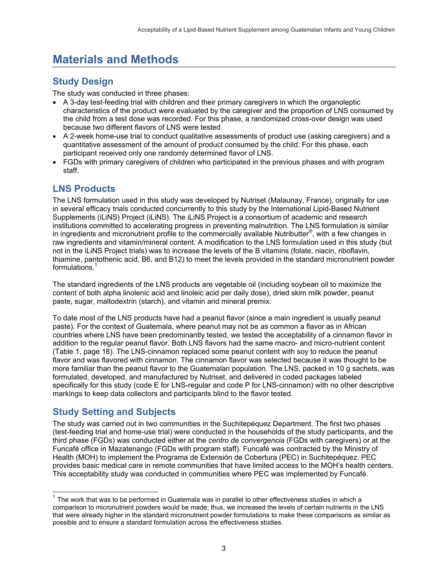## **Materials and Methods**

## **Study Design**

The study was conducted in three phases:

- A 3-day test-feeding trial with children and their primary caregivers in which the organoleptic characteristics of the product were evaluated by the caregiver and the proportion of LNS consumed by the child from a test dose was recorded. For this phase, a randomized cross-over design was used because two different flavors of LNS were tested.
- A 2-week home-use trial to conduct qualitative assessments of product use (asking caregivers) and a quantitative assessment of the amount of product consumed by the child. For this phase, each participant received only one randomly determined flavor of LNS.
- FGDs with primary caregivers of children who participated in the previous phases and with program staff.

## **LNS Products**

The LNS formulation used in this study was developed by Nutriset (Malaunay, France), originally for use in several efficacy trials conducted concurrently to this study by the International Lipid-Based Nutrient Supplements (iLiNS) Project (iLiNS). The iLiNS Project is a consortium of academic and research institutions committed to accelerating progress in preventing malnutrition. The LNS formulation is similar in ingredients and micronutrient profile to the commercially available Nutributter®, with a few changes in raw ingredients and vitamin/mineral content. A modification to the LNS formulation used in this study (but not in the iLiNS Project trials) was to increase the levels of the B vitamins (folate, niacin, riboflavin, thiamine, pantothenic acid, B6, and B12) to meet the levels provided in the standard micronutrient powder formulations.<sup>1</sup>

The standard ingredients of the LNS products are vegetable oil (including soybean oil to maximize the content of both alpha linolenic acid and linoleic acid per daily dose), dried skim milk powder, peanut paste, sugar, maltodextrin (starch), and vitamin and mineral premix.

To date most of the LNS products have had a peanut flavor (since a main ingredient is usually peanut paste). For the context of Guatemala, where peanut may not be as common a flavor as in African countries where LNS have been predominantly tested, we tested the acceptability of a cinnamon flavor in addition to the regular peanut flavor. Both LNS flavors had the same macro- and micro-nutrient content (Table 1, page 18). The LNS-cinnamon replaced some peanut content with soy to reduce the peanut flavor and was flavored with cinnamon. The cinnamon flavor was selected because it was thought to be more familiar than the peanut flavor to the Guatemalan population. The LNS, packed in 10 g sachets, was formulated, developed, and manufactured by Nutriset, and delivered in coded packages labeled specifically for this study (code E for LNS-regular and code P for LNS-cinnamon) with no other descriptive markings to keep data collectors and participants blind to the flavor tested.

## **Study Setting and Subjects**

1

The study was carried out in two communities in the Suchitepéquez Department. The first two phases (test-feeding trial and home-use trial) were conducted in the households of the study participants, and the third phase (FGDs) was conducted either at the *centro de convergencia* (FGDs with caregivers) or at the Funcafé office in Mazatenango (FGDs with program staff). Funcafé was contracted by the Ministry of Health (MOH) to implement the Programa de Extensión de Cobertura (PEC) in Suchitepéquez. PEC provides basic medical care in remote communities that have limited access to the MOH's health centers. This acceptability study was conducted in communities where PEC was implemented by Funcafé.

 $1$  The work that was to be performed in Guatemala was in parallel to other effectiveness studies in which a comparison to micronutrient powders would be made; thus, we increased the levels of certain nutrients in the LNS that were already higher in the standard micronutrient powder formulations to make these comparisons as similar as possible and to ensure a standard formulation across the effectiveness studies.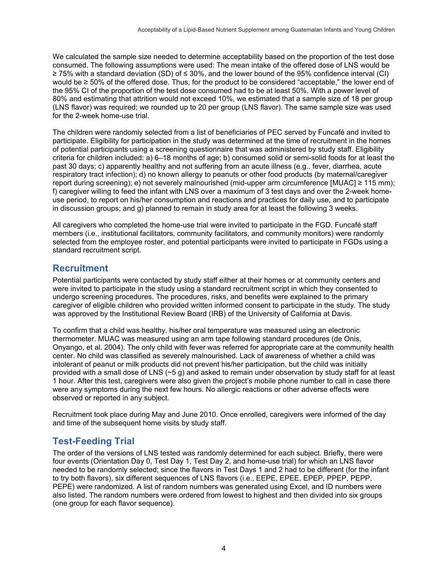We calculated the sample size needed to determine acceptability based on the proportion of the test dose consumed. The following assumptions were used: The mean intake of the offered dose of LNS would be ≥ 75% with a standard deviation (SD) of ≤ 30%, and the lower bound of the 95% confidence interval (CI) would be ≥ 50% of the offered dose. Thus, for the product to be considered "acceptable," the lower end of the 95% CI of the proportion of the test dose consumed had to be at least 50%. With a power level of 80% and estimating that attrition would not exceed 10%, we estimated that a sample size of 18 per group (LNS flavor) was required; we rounded up to 20 per group (LNS flavor). The same sample size was used for the 2-week home-use trial.

The children were randomly selected from a list of beneficiaries of PEC served by Funcafé and invited to participate. Eligibility for participation in the study was determined at the time of recruitment in the homes of potential participants using a screening questionnaire that was administered by study staff. Eligibility criteria for children included: a) 6–18 months of age; b) consumed solid or semi-solid foods for at least the past 30 days; c) apparently healthy and not suffering from an acute illness (e.g., fever, diarrhea, acute respiratory tract infection); d) no known allergy to peanuts or other food products (by maternal/caregiver report during screening); e) not severely malnourished (mid-upper arm circumference [MUAC] ≥ 115 mm); f) caregiver willing to feed the infant with LNS over a maximum of 3 test days and over the 2-week homeuse period, to report on his/her consumption and reactions and practices for daily use, and to participate in discussion groups; and g) planned to remain in study area for at least the following 3 weeks.

All caregivers who completed the home-use trial were invited to participate in the FGD. Funcafé staff members (i.e., institutional facilitators, community facilitators, and community monitors) were randomly selected from the employee roster, and potential participants were invited to participate in FGDs using a standard recruitment script.

## **Recruitment**

Potential participants were contacted by study staff either at their homes or at community centers and were invited to participate in the study using a standard recruitment script in which they consented to undergo screening procedures. The procedures, risks, and benefits were explained to the primary caregiver of eligible children who provided written informed consent to participate in the study. The study was approved by the Institutional Review Board (IRB) of the University of California at Davis.

To confirm that a child was healthy, his/her oral temperature was measured using an electronic thermometer. MUAC was measured using an arm tape following standard procedures (de Onis, Onyango, et al. 2004). The only child with fever was referred for appropriate care at the community health center. No child was classified as severely malnourished. Lack of awareness of whether a child was intolerant of peanut or milk products did not prevent his/her participation, but the child was initially provided with a small dose of LNS (~5 g) and asked to remain under observation by study staff for at least 1 hour. After this test, caregivers were also given the project's mobile phone number to call in case there were any symptoms during the next few hours. No allergic reactions or other adverse effects were observed or reported in any subject.

Recruitment took place during May and June 2010. Once enrolled, caregivers were informed of the day and time of the subsequent home visits by study staff.

## **Test-Feeding Trial**

The order of the versions of LNS tested was randomly determined for each subject. Briefly, there were four events (Orientation Day 0, Test Day 1, Test Day 2, and home-use trial) for which an LNS flavor needed to be randomly selected; since the flavors in Test Days 1 and 2 had to be different (for the infant to try both flavors), six different sequences of LNS flavors (i.e., EEPE, EPEE, EPEP, PPEP, PEPP, PEPE) were randomized. A list of random numbers was generated using Excel, and ID numbers were also listed. The random numbers were ordered from lowest to highest and then divided into six groups (one group for each flavor sequence).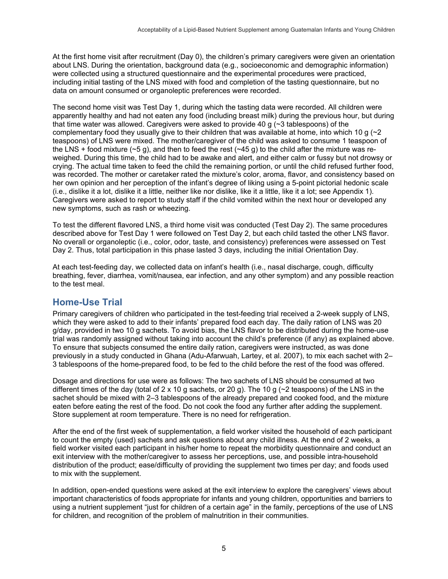At the first home visit after recruitment (Day 0), the children's primary caregivers were given an orientation about LNS. During the orientation, background data (e.g., socioeconomic and demographic information) were collected using a structured questionnaire and the experimental procedures were practiced, including initial tasting of the LNS mixed with food and completion of the tasting questionnaire, but no data on amount consumed or organoleptic preferences were recorded.

The second home visit was Test Day 1, during which the tasting data were recorded. All children were apparently healthy and had not eaten any food (including breast milk) during the previous hour, but during that time water was allowed. Caregivers were asked to provide 40 g  $\sim$  3 tablespoons) of the complementary food they usually give to their children that was available at home, into which 10 g  $\sim$  2 teaspoons) of LNS were mixed. The mother/caregiver of the child was asked to consume 1 teaspoon of the LNS + food mixture ( $\sim$ 5 g), and then to feed the rest ( $\sim$ 45 g) to the child after the mixture was reweighed. During this time, the child had to be awake and alert, and either calm or fussy but not drowsy or crying. The actual time taken to feed the child the remaining portion, or until the child refused further food, was recorded. The mother or caretaker rated the mixture's color, aroma, flavor, and consistency based on her own opinion and her perception of the infant's degree of liking using a 5-point pictorial hedonic scale (i.e., dislike it a lot, dislike it a little, neither like nor dislike, like it a little, like it a lot; see Appendix 1). Caregivers were asked to report to study staff if the child vomited within the next hour or developed any new symptoms, such as rash or wheezing.

To test the different flavored LNS, a third home visit was conducted (Test Day 2). The same procedures described above for Test Day 1 were followed on Test Day 2, but each child tasted the other LNS flavor. No overall or organoleptic (i.e., color, odor, taste, and consistency) preferences were assessed on Test Day 2. Thus, total participation in this phase lasted 3 days, including the initial Orientation Day.

At each test-feeding day, we collected data on infant's health (i.e., nasal discharge, cough, difficulty breathing, fever, diarrhea, vomit/nausea, ear infection, and any other symptom) and any possible reaction to the test meal.

## **Home-Use Trial**

Primary caregivers of children who participated in the test-feeding trial received a 2-week supply of LNS, which they were asked to add to their infants' prepared food each day. The daily ration of LNS was 20 g/day, provided in two 10 g sachets. To avoid bias, the LNS flavor to be distributed during the home-use trial was randomly assigned without taking into account the child's preference (if any) as explained above. To ensure that subjects consumed the entire daily ration, caregivers were instructed, as was done previously in a study conducted in Ghana (Adu-Afarwuah, Lartey, et al. 2007), to mix each sachet with 2– 3 tablespoons of the home-prepared food, to be fed to the child before the rest of the food was offered.

Dosage and directions for use were as follows: The two sachets of LNS should be consumed at two different times of the day (total of 2 x 10 g sachets, or 20 g). The 10 g ( $\sim$ 2 teaspoons) of the LNS in the sachet should be mixed with 2–3 tablespoons of the already prepared and cooked food, and the mixture eaten before eating the rest of the food. Do not cook the food any further after adding the supplement. Store supplement at room temperature. There is no need for refrigeration.

After the end of the first week of supplementation, a field worker visited the household of each participant to count the empty (used) sachets and ask questions about any child illness. At the end of 2 weeks, a field worker visited each participant in his/her home to repeat the morbidity questionnaire and conduct an exit interview with the mother/caregiver to assess her perceptions, use, and possible intra-household distribution of the product; ease/difficulty of providing the supplement two times per day; and foods used to mix with the supplement.

In addition, open-ended questions were asked at the exit interview to explore the caregivers' views about important characteristics of foods appropriate for infants and young children, opportunities and barriers to using a nutrient supplement "just for children of a certain age" in the family, perceptions of the use of LNS for children, and recognition of the problem of malnutrition in their communities.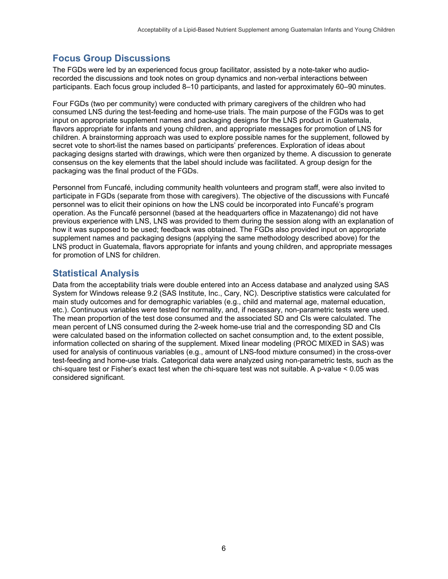## **Focus Group Discussions**

The FGDs were led by an experienced focus group facilitator, assisted by a note-taker who audiorecorded the discussions and took notes on group dynamics and non-verbal interactions between participants. Each focus group included 8–10 participants, and lasted for approximately 60–90 minutes.

Four FGDs (two per community) were conducted with primary caregivers of the children who had consumed LNS during the test-feeding and home-use trials. The main purpose of the FGDs was to get input on appropriate supplement names and packaging designs for the LNS product in Guatemala, flavors appropriate for infants and young children, and appropriate messages for promotion of LNS for children. A brainstorming approach was used to explore possible names for the supplement, followed by secret vote to short-list the names based on participants' preferences. Exploration of ideas about packaging designs started with drawings, which were then organized by theme. A discussion to generate consensus on the key elements that the label should include was facilitated. A group design for the packaging was the final product of the FGDs.

Personnel from Funcafé, including community health volunteers and program staff, were also invited to participate in FGDs (separate from those with caregivers). The objective of the discussions with Funcafé personnel was to elicit their opinions on how the LNS could be incorporated into Funcafé's program operation. As the Funcafé personnel (based at the headquarters office in Mazatenango) did not have previous experience with LNS, LNS was provided to them during the session along with an explanation of how it was supposed to be used; feedback was obtained. The FGDs also provided input on appropriate supplement names and packaging designs (applying the same methodology described above) for the LNS product in Guatemala, flavors appropriate for infants and young children, and appropriate messages for promotion of LNS for children.

## **Statistical Analysis**

Data from the acceptability trials were double entered into an Access database and analyzed using SAS System for Windows release 9.2 (SAS Institute, Inc., Cary, NC). Descriptive statistics were calculated for main study outcomes and for demographic variables (e.g., child and maternal age, maternal education, etc.). Continuous variables were tested for normality, and, if necessary, non-parametric tests were used. The mean proportion of the test dose consumed and the associated SD and CIs were calculated. The mean percent of LNS consumed during the 2-week home-use trial and the corresponding SD and CIs were calculated based on the information collected on sachet consumption and, to the extent possible, information collected on sharing of the supplement. Mixed linear modeling (PROC MIXED in SAS) was used for analysis of continuous variables (e.g., amount of LNS-food mixture consumed) in the cross-over test-feeding and home-use trials. Categorical data were analyzed using non-parametric tests, such as the chi-square test or Fisher's exact test when the chi-square test was not suitable. A p-value < 0.05 was considered significant.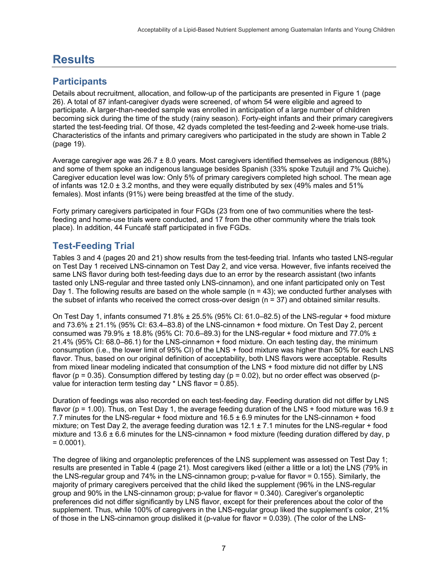## **Results**

## **Participants**

Details about recruitment, allocation, and follow-up of the participants are presented in Figure 1 (page 26). A total of 87 infant-caregiver dyads were screened, of whom 54 were eligible and agreed to participate. A larger-than-needed sample was enrolled in anticipation of a large number of children becoming sick during the time of the study (rainy season). Forty-eight infants and their primary caregivers started the test-feeding trial. Of those, 42 dyads completed the test-feeding and 2-week home-use trials. Characteristics of the infants and primary caregivers who participated in the study are shown in Table 2 (page 19).

Average caregiver age was  $26.7 \pm 8.0$  years. Most caregivers identified themselves as indigenous (88%) and some of them spoke an indigenous language besides Spanish (33% spoke Tzutujil and 7% Quiche). Caregiver education level was low: Only 5% of primary caregivers completed high school. The mean age of infants was  $12.0 \pm 3.2$  months, and they were equally distributed by sex (49% males and 51%) females). Most infants (91%) were being breastfed at the time of the study.

Forty primary caregivers participated in four FGDs (23 from one of two communities where the testfeeding and home-use trials were conducted, and 17 from the other community where the trials took place). In addition, 44 Funcafé staff participated in five FGDs.

## **Test-Feeding Trial**

Tables 3 and 4 (pages 20 and 21) show results from the test-feeding trial. Infants who tasted LNS-regular on Test Day 1 received LNS-cinnamon on Test Day 2, and vice versa. However, five infants received the same LNS flavor during both test-feeding days due to an error by the research assistant (two infants tasted only LNS-regular and three tasted only LNS-cinnamon), and one infant participated only on Test Day 1. The following results are based on the whole sample  $(n = 43)$ ; we conducted further analyses with the subset of infants who received the correct cross-over design (n = 37) and obtained similar results.

On Test Day 1, infants consumed 71.8% ± 25.5% (95% CI: 61.0–82.5) of the LNS-regular + food mixture and 73.6% ± 21.1% (95% CI: 63.4–83.8) of the LNS-cinnamon + food mixture. On Test Day 2, percent consumed was 79.9%  $\pm$  18.8% (95% CI: 70.6–89.3) for the LNS-regular + food mixture and 77.0%  $\pm$ 21.4% (95% CI: 68.0–86.1) for the LNS-cinnamon + food mixture. On each testing day, the minimum consumption (i.e., the lower limit of 95% CI) of the LNS + food mixture was higher than 50% for each LNS flavor. Thus, based on our original definition of acceptability, both LNS flavors were acceptable. Results from mixed linear modeling indicated that consumption of the LNS + food mixture did not differ by LNS flavor ( $p = 0.35$ ). Consumption differed by testing day ( $p = 0.02$ ), but no order effect was observed ( $p$ value for interaction term testing day  $*$  LNS flavor = 0.85).

Duration of feedings was also recorded on each test-feeding day. Feeding duration did not differ by LNS flavor (p = 1.00). Thus, on Test Day 1, the average feeding duration of the LNS + food mixture was 16.9  $\pm$ 7.7 minutes for the LNS-regular + food mixture and 16.5 ± 6.9 minutes for the LNS-cinnamon + food mixture; on Test Day 2, the average feeding duration was  $12.1 \pm 7.1$  minutes for the LNS-regular + food mixture and  $13.6 \pm 6.6$  minutes for the LNS-cinnamon + food mixture (feeding duration differed by day, p  $= 0.0001$ ).

The degree of liking and organoleptic preferences of the LNS supplement was assessed on Test Day 1; results are presented in Table 4 (page 21). Most caregivers liked (either a little or a lot) the LNS (79% in the LNS-regular group and 74% in the LNS-cinnamon group; p-value for flavor = 0.155). Similarly, the majority of primary caregivers perceived that the child liked the supplement (96% in the LNS-regular group and 90% in the LNS-cinnamon group; p-value for flavor = 0.340). Caregiver's organoleptic preferences did not differ significantly by LNS flavor, except for their preferences about the color of the supplement. Thus, while 100% of caregivers in the LNS-regular group liked the supplement's color, 21% of those in the LNS-cinnamon group disliked it (p-value for flavor = 0.039). (The color of the LNS-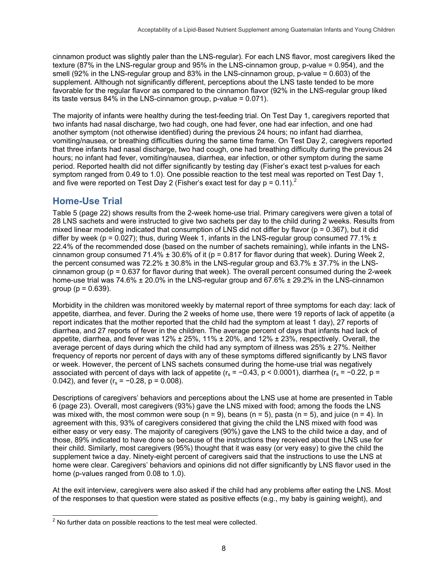cinnamon product was slightly paler than the LNS-regular). For each LNS flavor, most caregivers liked the texture (87% in the LNS-regular group and 95% in the LNS-cinnamon group, p-value = 0.954), and the smell (92% in the LNS-regular group and 83% in the LNS-cinnamon group, p-value = 0.603) of the supplement. Although not significantly different, perceptions about the LNS taste tended to be more favorable for the regular flavor as compared to the cinnamon flavor (92% in the LNS-regular group liked its taste versus 84% in the LNS-cinnamon group, p-value = 0.071).

The majority of infants were healthy during the test-feeding trial. On Test Day 1, caregivers reported that two infants had nasal discharge, two had cough, one had fever, one had ear infection, and one had another symptom (not otherwise identified) during the previous 24 hours; no infant had diarrhea, vomiting/nausea, or breathing difficulties during the same time frame. On Test Day 2, caregivers reported that three infants had nasal discharge, two had cough, one had breathing difficulty during the previous 24 hours; no infant had fever, vomiting/nausea, diarrhea, ear infection, or other symptom during the same period. Reported health did not differ significantly by testing day (Fisher's exact test p-values for each symptom ranged from 0.49 to 1.0). One possible reaction to the test meal was reported on Test Day 1, and five were reported on Test Day 2 (Fisher's exact test for day  $p = 0.11$ ).

## **Home-Use Trial**

Table 5 (page 22) shows results from the 2-week home-use trial. Primary caregivers were given a total of 28 LNS sachets and were instructed to give two sachets per day to the child during 2 weeks. Results from mixed linear modeling indicated that consumption of LNS did not differ by flavor ( $p = 0.367$ ), but it did differ by week (p = 0.027); thus, during Week 1, infants in the LNS-regular group consumed 77.1%  $\pm$ 22.4% of the recommended dose (based on the number of sachets remaining), while infants in the LNScinnamon group consumed 71.4%  $\pm$  30.6% of it (p = 0.817 for flavor during that week). During Week 2, the percent consumed was 72.2%  $\pm$  30.8% in the LNS-regular group and 63.7%  $\pm$  37.7% in the LNScinnamon group (p = 0.637 for flavor during that week). The overall percent consumed during the 2-week home-use trial was 74.6% ± 20.0% in the LNS-regular group and 67.6% ± 29.2% in the LNS-cinnamon group ( $p = 0.639$ ).

Morbidity in the children was monitored weekly by maternal report of three symptoms for each day: lack of appetite, diarrhea, and fever. During the 2 weeks of home use, there were 19 reports of lack of appetite (a report indicates that the mother reported that the child had the symptom at least 1 day), 27 reports of diarrhea, and 27 reports of fever in the children. The average percent of days that infants had lack of appetite, diarrhea, and fever was  $12\% \pm 25\%$ ,  $11\% \pm 20\%$ , and  $12\% \pm 23\%$ , respectively. Overall, the average percent of days during which the child had any symptom of illness was  $25\% \pm 27\%$ . Neither frequency of reports nor percent of days with any of these symptoms differed significantly by LNS flavor or week. However, the percent of LNS sachets consumed during the home-use trial was negatively associated with percent of days with lack of appetite ( $r_s = -0.43$ , p < 0.0001), diarrhea ( $r_s = -0.22$ , p = 0.042), and fever ( $r_s = -0.28$ ,  $p = 0.008$ ).

Descriptions of caregivers' behaviors and perceptions about the LNS use at home are presented in Table 6 (page 23). Overall, most caregivers (93%) gave the LNS mixed with food; among the foods the LNS was mixed with, the most common were soup  $(n = 9)$ , beans  $(n = 5)$ , pasta  $(n = 5)$ , and juice  $(n = 4)$ . In agreement with this, 93% of caregivers considered that giving the child the LNS mixed with food was either easy or very easy. The majority of caregivers (90%) gave the LNS to the child twice a day, and of those, 89% indicated to have done so because of the instructions they received about the LNS use for their child. Similarly, most caregivers (95%) thought that it was easy (or very easy) to give the child the supplement twice a day. Ninety-eight percent of caregivers said that the instructions to use the LNS at home were clear. Caregivers' behaviors and opinions did not differ significantly by LNS flavor used in the home (p-values ranged from 0.08 to 1.0).

At the exit interview, caregivers were also asked if the child had any problems after eating the LNS. Most of the responses to that question were stated as positive effects (e.g., my baby is gaining weight), and

 $2^2$  No further data on possible reactions to the test meal were collected.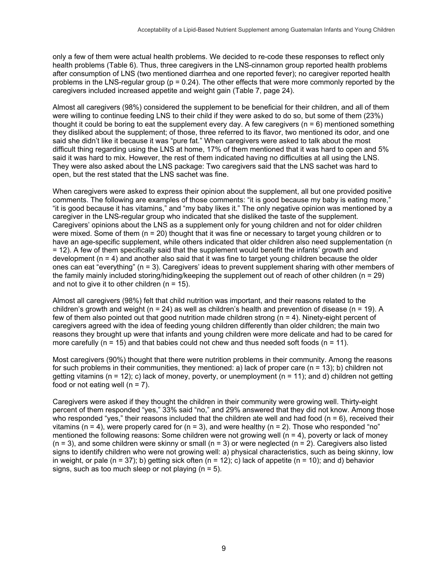only a few of them were actual health problems. We decided to re-code these responses to reflect only health problems (Table 6). Thus, three caregivers in the LNS-cinnamon group reported health problems after consumption of LNS (two mentioned diarrhea and one reported fever); no caregiver reported health problems in the LNS-regular group ( $p = 0.24$ ). The other effects that were more commonly reported by the caregivers included increased appetite and weight gain (Table 7, page 24).

Almost all caregivers (98%) considered the supplement to be beneficial for their children, and all of them were willing to continue feeding LNS to their child if they were asked to do so, but some of them (23%) thought it could be boring to eat the supplement every day. A few caregivers  $(n = 6)$  mentioned something they disliked about the supplement; of those, three referred to its flavor, two mentioned its odor, and one said she didn't like it because it was "pure fat." When caregivers were asked to talk about the most difficult thing regarding using the LNS at home, 17% of them mentioned that it was hard to open and 5% said it was hard to mix. However, the rest of them indicated having no difficulties at all using the LNS. They were also asked about the LNS package: Two caregivers said that the LNS sachet was hard to open, but the rest stated that the LNS sachet was fine.

When caregivers were asked to express their opinion about the supplement, all but one provided positive comments. The following are examples of those comments: "it is good because my baby is eating more," "it is good because it has vitamins," and "my baby likes it." The only negative opinion was mentioned by a caregiver in the LNS-regular group who indicated that she disliked the taste of the supplement. Caregivers' opinions about the LNS as a supplement only for young children and not for older children were mixed. Some of them (n = 20) thought that it was fine or necessary to target young children or to have an age-specific supplement, while others indicated that older children also need supplementation (n = 12). A few of them specifically said that the supplement would benefit the infants' growth and development  $(n = 4)$  and another also said that it was fine to target young children because the older ones can eat "everything" (n = 3). Caregivers' ideas to prevent supplement sharing with other members of the family mainly included storing/hiding/keeping the supplement out of reach of other children (n = 29) and not to give it to other children  $(n = 15)$ .

Almost all caregivers (98%) felt that child nutrition was important, and their reasons related to the children's growth and weight ( $n = 24$ ) as well as children's health and prevention of disease ( $n = 19$ ). A few of them also pointed out that good nutrition made children strong (n = 4). Ninety-eight percent of caregivers agreed with the idea of feeding young children differently than older children; the main two reasons they brought up were that infants and young children were more delicate and had to be cared for more carefully ( $n = 15$ ) and that babies could not chew and thus needed soft foods ( $n = 11$ ).

Most caregivers (90%) thought that there were nutrition problems in their community. Among the reasons for such problems in their communities, they mentioned: a) lack of proper care  $(n = 13)$ ; b) children not getting vitamins ( $n = 12$ ); c) lack of money, poverty, or unemployment ( $n = 11$ ); and d) children not getting food or not eating well  $(n = 7)$ .

Caregivers were asked if they thought the children in their community were growing well. Thirty-eight percent of them responded "yes," 33% said "no," and 29% answered that they did not know. Among those who responded "yes," their reasons included that the children ate well and had food  $(n = 6)$ , received their vitamins ( $n = 4$ ), were properly cared for ( $n = 3$ ), and were healthy ( $n = 2$ ). Those who responded "no" mentioned the following reasons: Some children were not growing well (n = 4), poverty or lack of money  $(n = 3)$ , and some children were skinny or small  $(n = 3)$  or were neglected  $(n = 2)$ . Caregivers also listed signs to identify children who were not growing well: a) physical characteristics, such as being skinny, low in weight, or pale (n = 37); b) getting sick often (n = 12); c) lack of appetite (n = 10); and d) behavior signs, such as too much sleep or not playing  $(n = 5)$ .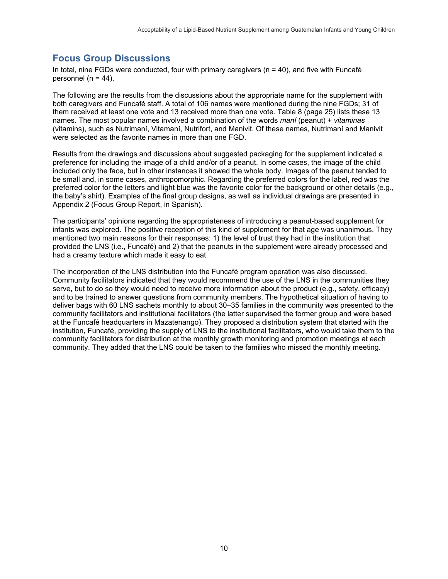## **Focus Group Discussions**

In total, nine FGDs were conducted, four with primary caregivers  $(n = 40)$ , and five with Funcafé personnel ( $n = 44$ ).

The following are the results from the discussions about the appropriate name for the supplement with both caregivers and Funcafé staff. A total of 106 names were mentioned during the nine FGDs; 31 of them received at least one vote and 13 received more than one vote. Table 8 (page 25) lists these 13 names. The most popular names involved a combination of the words *maní* (peanut) + *vitaminas* (vitamins), such as Nutrimaní, Vitamaní, Nutrifort, and Manivit. Of these names, Nutrimaní and Manivit were selected as the favorite names in more than one FGD.

Results from the drawings and discussions about suggested packaging for the supplement indicated a preference for including the image of a child and/or of a peanut. In some cases, the image of the child included only the face, but in other instances it showed the whole body. Images of the peanut tended to be small and, in some cases, anthropomorphic. Regarding the preferred colors for the label, red was the preferred color for the letters and light blue was the favorite color for the background or other details (e.g., the baby's shirt). Examples of the final group designs, as well as individual drawings are presented in Appendix 2 (Focus Group Report, in Spanish).

The participants' opinions regarding the appropriateness of introducing a peanut-based supplement for infants was explored. The positive reception of this kind of supplement for that age was unanimous. They mentioned two main reasons for their responses: 1) the level of trust they had in the institution that provided the LNS (i.e., Funcafé) and 2) that the peanuts in the supplement were already processed and had a creamy texture which made it easy to eat.

The incorporation of the LNS distribution into the Funcafé program operation was also discussed. Community facilitators indicated that they would recommend the use of the LNS in the communities they serve, but to do so they would need to receive more information about the product (e.g., safety, efficacy) and to be trained to answer questions from community members. The hypothetical situation of having to deliver bags with 60 LNS sachets monthly to about 30–35 families in the community was presented to the community facilitators and institutional facilitators (the latter supervised the former group and were based at the Funcafé headquarters in Mazatenango). They proposed a distribution system that started with the institution, Funcafé, providing the supply of LNS to the institutional facilitators, who would take them to the community facilitators for distribution at the monthly growth monitoring and promotion meetings at each community. They added that the LNS could be taken to the families who missed the monthly meeting.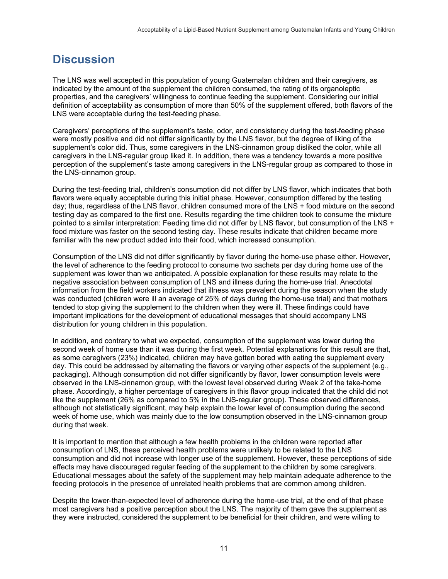## **Discussion**

The LNS was well accepted in this population of young Guatemalan children and their caregivers, as indicated by the amount of the supplement the children consumed, the rating of its organoleptic properties, and the caregivers' willingness to continue feeding the supplement. Considering our initial definition of acceptability as consumption of more than 50% of the supplement offered, both flavors of the LNS were acceptable during the test-feeding phase.

Caregivers' perceptions of the supplement's taste, odor, and consistency during the test-feeding phase were mostly positive and did not differ significantly by the LNS flavor, but the degree of liking of the supplement's color did. Thus, some caregivers in the LNS-cinnamon group disliked the color, while all caregivers in the LNS-regular group liked it. In addition, there was a tendency towards a more positive perception of the supplement's taste among caregivers in the LNS-regular group as compared to those in the LNS-cinnamon group.

During the test-feeding trial, children's consumption did not differ by LNS flavor, which indicates that both flavors were equally acceptable during this initial phase. However, consumption differed by the testing day; thus, regardless of the LNS flavor, children consumed more of the LNS + food mixture on the second testing day as compared to the first one. Results regarding the time children took to consume the mixture pointed to a similar interpretation: Feeding time did not differ by LNS flavor, but consumption of the LNS + food mixture was faster on the second testing day. These results indicate that children became more familiar with the new product added into their food, which increased consumption.

Consumption of the LNS did not differ significantly by flavor during the home-use phase either. However, the level of adherence to the feeding protocol to consume two sachets per day during home use of the supplement was lower than we anticipated. A possible explanation for these results may relate to the negative association between consumption of LNS and illness during the home-use trial. Anecdotal information from the field workers indicated that illness was prevalent during the season when the study was conducted (children were ill an average of 25% of days during the home-use trial) and that mothers tended to stop giving the supplement to the children when they were ill. These findings could have important implications for the development of educational messages that should accompany LNS distribution for young children in this population.

In addition, and contrary to what we expected, consumption of the supplement was lower during the second week of home use than it was during the first week. Potential explanations for this result are that, as some caregivers (23%) indicated, children may have gotten bored with eating the supplement every day. This could be addressed by alternating the flavors or varying other aspects of the supplement (e.g., packaging). Although consumption did not differ significantly by flavor, lower consumption levels were observed in the LNS-cinnamon group, with the lowest level observed during Week 2 of the take-home phase. Accordingly, a higher percentage of caregivers in this flavor group indicated that the child did not like the supplement (26% as compared to 5% in the LNS-regular group). These observed differences, although not statistically significant, may help explain the lower level of consumption during the second week of home use, which was mainly due to the low consumption observed in the LNS-cinnamon group during that week.

It is important to mention that although a few health problems in the children were reported after consumption of LNS, these perceived health problems were unlikely to be related to the LNS consumption and did not increase with longer use of the supplement. However, these perceptions of side effects may have discouraged regular feeding of the supplement to the children by some caregivers. Educational messages about the safety of the supplement may help maintain adequate adherence to the feeding protocols in the presence of unrelated health problems that are common among children.

Despite the lower-than-expected level of adherence during the home-use trial, at the end of that phase most caregivers had a positive perception about the LNS. The majority of them gave the supplement as they were instructed, considered the supplement to be beneficial for their children, and were willing to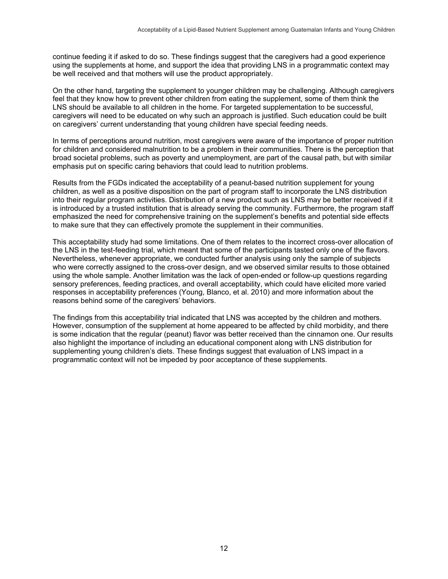continue feeding it if asked to do so. These findings suggest that the caregivers had a good experience using the supplements at home, and support the idea that providing LNS in a programmatic context may be well received and that mothers will use the product appropriately.

On the other hand, targeting the supplement to younger children may be challenging. Although caregivers feel that they know how to prevent other children from eating the supplement, some of them think the LNS should be available to all children in the home. For targeted supplementation to be successful, caregivers will need to be educated on why such an approach is justified. Such education could be built on caregivers' current understanding that young children have special feeding needs.

In terms of perceptions around nutrition, most caregivers were aware of the importance of proper nutrition for children and considered malnutrition to be a problem in their communities. There is the perception that broad societal problems, such as poverty and unemployment, are part of the causal path, but with similar emphasis put on specific caring behaviors that could lead to nutrition problems.

Results from the FGDs indicated the acceptability of a peanut-based nutrition supplement for young children, as well as a positive disposition on the part of program staff to incorporate the LNS distribution into their regular program activities. Distribution of a new product such as LNS may be better received if it is introduced by a trusted institution that is already serving the community. Furthermore, the program staff emphasized the need for comprehensive training on the supplement's benefits and potential side effects to make sure that they can effectively promote the supplement in their communities.

This acceptability study had some limitations. One of them relates to the incorrect cross-over allocation of the LNS in the test-feeding trial, which meant that some of the participants tasted only one of the flavors. Nevertheless, whenever appropriate, we conducted further analysis using only the sample of subjects who were correctly assigned to the cross-over design, and we observed similar results to those obtained using the whole sample. Another limitation was the lack of open-ended or follow-up questions regarding sensory preferences, feeding practices, and overall acceptability, which could have elicited more varied responses in acceptability preferences (Young, Blanco, et al. 2010) and more information about the reasons behind some of the caregivers' behaviors.

The findings from this acceptability trial indicated that LNS was accepted by the children and mothers. However, consumption of the supplement at home appeared to be affected by child morbidity, and there is some indication that the regular (peanut) flavor was better received than the cinnamon one. Our results also highlight the importance of including an educational component along with LNS distribution for supplementing young children's diets. These findings suggest that evaluation of LNS impact in a programmatic context will not be impeded by poor acceptance of these supplements.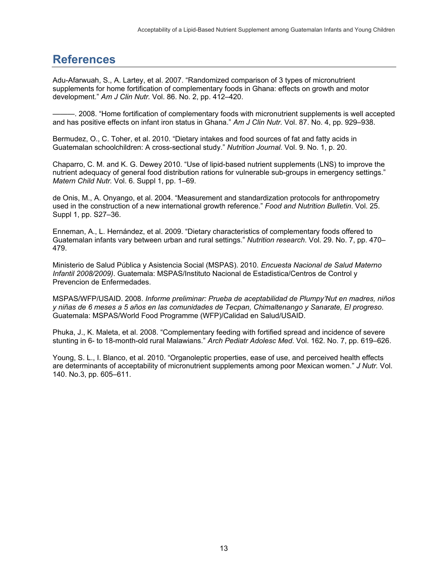## **References**

Adu-Afarwuah, S., A. Lartey, et al. 2007. "Randomized comparison of 3 types of micronutrient supplements for home fortification of complementary foods in Ghana: effects on growth and motor development." *Am J Clin Nutr.* Vol. 86. No. 2, pp. 412–420.

———. 2008. "Home fortification of complementary foods with micronutrient supplements is well accepted and has positive effects on infant iron status in Ghana." *Am J Clin Nutr.* Vol. 87. No. 4, pp. 929–938.

Bermudez, O., C. Toher, et al. 2010. "Dietary intakes and food sources of fat and fatty acids in Guatemalan schoolchildren: A cross-sectional study." *Nutrition Journal.* Vol. 9. No. 1, p. 20.

Chaparro, C. M. and K. G. Dewey 2010. "Use of lipid-based nutrient supplements (LNS) to improve the nutrient adequacy of general food distribution rations for vulnerable sub-groups in emergency settings." *Matern Child Nutr.* Vol. 6. Suppl 1, pp. 1–69.

de Onis, M., A. Onyango, et al. 2004. "Measurement and standardization protocols for anthropometry used in the construction of a new international growth reference." *Food and Nutrition Bulletin*. Vol. 25. Suppl 1, pp. S27–36.

Enneman, A., L. Hernández, et al. 2009. "Dietary characteristics of complementary foods offered to Guatemalan infants vary between urban and rural settings." *Nutrition research*. Vol. 29. No. 7, pp. 470– 479.

Ministerio de Salud Pública y Asistencia Social (MSPAS). 2010. *Encuesta Nacional de Salud Materno Infantil 2008/2009)*. Guatemala: MSPAS/Instituto Nacional de Estadistica/Centros de Control y Prevencion de Enfermedades.

MSPAS/WFP/USAID. 2008. *Informe preliminar: Prueba de aceptabilidad de Plumpy'Nut en madres, niños y niñas de 6 meses a 5 años en las comunidades de Tecpan, Chimaltenango y Sanarate, El progreso*. Guatemala: MSPAS/World Food Programme (WFP)/Calidad en Salud/USAID.

Phuka, J., K. Maleta, et al. 2008. "Complementary feeding with fortified spread and incidence of severe stunting in 6- to 18-month-old rural Malawians." *Arch Pediatr Adolesc Med*. Vol. 162. No. 7, pp. 619–626.

Young, S. L., I. Blanco, et al. 2010. "Organoleptic properties, ease of use, and perceived health effects are determinants of acceptability of micronutrient supplements among poor Mexican women." *J Nutr.* Vol. 140. No.3, pp. 605–611.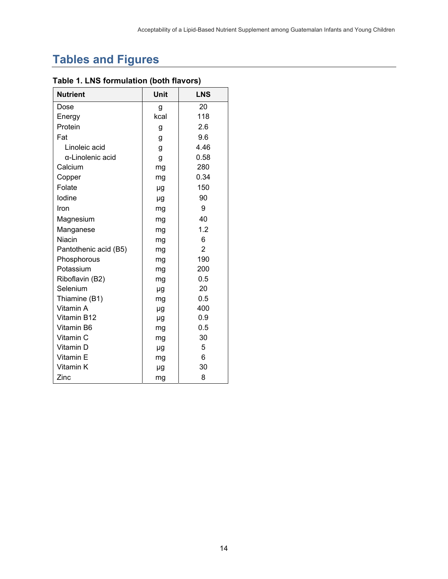# **Tables and Figures**

| <b>Nutrient</b>       | <b>Unit</b> | <b>LNS</b>     |
|-----------------------|-------------|----------------|
| Dose                  | g           | 20             |
| Energy                | kcal        | 118            |
| Protein               | g           | 2.6            |
| Fat                   | g           | 9.6            |
| Linoleic acid         | g           | 4.46           |
| α-Linolenic acid      | g           | 0.58           |
| Calcium               | mg          | 280            |
| Copper                | mg          | 0.34           |
| Folate                | μg          | 150            |
| lodine                | μg          | 90             |
| Iron                  | mg          | 9              |
| Magnesium             | mg          | 40             |
| Manganese             | mg          | 1.2            |
| Niacin                | mg          | 6              |
| Pantothenic acid (B5) | mg          | $\overline{2}$ |
| Phosphorous           | mg          | 190            |
| Potassium             | mg          | 200            |
| Riboflavin (B2)       | mg          | 0.5            |
| Selenium              | μg          | 20             |
| Thiamine (B1)         | mg          | 0.5            |
| Vitamin A             | μg          | 400            |
| Vitamin B12           | μg          | 0.9            |
| Vitamin B6            | mg          | 0.5            |
| Vitamin C             | mg          | 30             |
| Vitamin D             | μg          | 5              |
| Vitamin E             | mg          | 6              |
| Vitamin K             | μg          | 30             |
| Zinc                  | mg          | 8              |

## **Table 1. LNS formulation (both flavors)**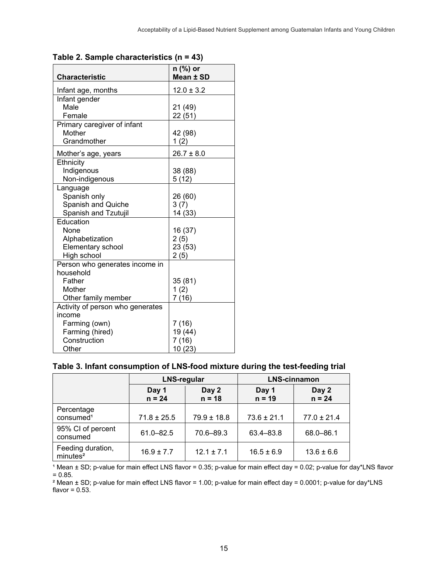| <b>Characteristic</b>            | n (%) or<br>Mean ± SD |
|----------------------------------|-----------------------|
|                                  |                       |
| Infant age, months               | $12.0 \pm 3.2$        |
| Infant gender                    |                       |
| Male                             | 21 (49)               |
| Female                           | 22 (51)               |
| Primary caregiver of infant      |                       |
| Mother                           | 42 (98)               |
| Grandmother                      | 1(2)                  |
| Mother's age, years              | $26.7 \pm 8.0$        |
| Ethnicity                        |                       |
| Indigenous                       | 38 (88)               |
| Non-indigenous                   | 5(12)                 |
| Language                         |                       |
| Spanish only                     | 26 (60)               |
| Spanish and Quiche               | 3(7)                  |
| Spanish and Tzutujil             | 14 (33)               |
| Education                        |                       |
| None                             | 16 (37)               |
| Alphabetization                  | 2(5)                  |
| Elementary school                | 23 (53)               |
| High school                      | 2(5)                  |
| Person who generates income in   |                       |
| household                        |                       |
| Father                           | 35 (81)               |
| Mother                           | 1(2)                  |
| Other family member              | 7 (16)                |
| Activity of person who generates |                       |
| income                           |                       |
| Farming (own)                    | 7(16)                 |
| Farming (hired)                  | 19 (44)               |
| Construction                     | 7(16)                 |
| Other                            | 10 (23)               |

#### **Table 2. Sample characteristics (n = 43)**

#### **Table 3. Infant consumption of LNS-food mixture during the test-feeding trial**

|                                           | <b>LNS-regular</b> |                   | <b>LNS-cinnamon</b> |                   |
|-------------------------------------------|--------------------|-------------------|---------------------|-------------------|
|                                           | Day 1<br>$n = 24$  | Day 2<br>$n = 18$ | Day 1<br>$n = 19$   | Day 2<br>$n = 24$ |
| Percentage<br>consumed <sup>1</sup>       | $71.8 \pm 25.5$    | $79.9 \pm 18.8$   | $73.6 \pm 21.1$     | $77.0 \pm 21.4$   |
| 95% CI of percent<br>consumed             | $61.0 - 82.5$      | 70.6-89.3         | 63.4-83.8           | 68.0-86.1         |
| Feeding duration,<br>minutes <sup>2</sup> | $16.9 \pm 7.7$     | $12.1 \pm 7.1$    | $16.5 \pm 6.9$      | $13.6 \pm 6.6$    |

<sup>1</sup> Mean ± SD; p-value for main effect LNS flavor = 0.35; p-value for main effect day = 0.02; p-value for day\*LNS flavor = 0.85.

² Mean ± SD; p-value for main effect LNS flavor = 1.00; p-value for main effect day = 0.0001; p-value for day\*LNS flavor =  $0.53$ .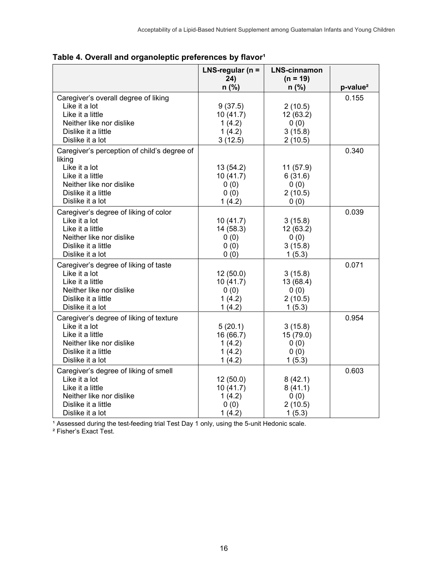|                                             | LNS-regular ( $n =$<br>24) | <b>LNS-cinnamon</b><br>$(n = 19)$ |            |
|---------------------------------------------|----------------------------|-----------------------------------|------------|
|                                             | $n$ (%)                    | $n$ (%)                           | $p-value2$ |
| Caregiver's overall degree of liking        |                            |                                   | 0.155      |
| Like it a lot                               | 9(37.5)                    | 2(10.5)                           |            |
| Like it a little                            | 10(41.7)                   | 12 (63.2)                         |            |
| Neither like nor dislike                    | 1(4.2)                     | 0(0)                              |            |
| Dislike it a little                         | 1(4.2)                     | 3(15.8)                           |            |
| Dislike it a lot                            | 3(12.5)                    | 2(10.5)                           |            |
| Caregiver's perception of child's degree of |                            |                                   | 0.340      |
| liking                                      |                            |                                   |            |
| Like it a lot                               | 13(54.2)                   | 11(57.9)                          |            |
| Like it a little                            | 10(41.7)                   | 6(31.6)                           |            |
| Neither like nor dislike                    | 0(0)                       | 0(0)                              |            |
| Dislike it a little                         | 0(0)                       | 2(10.5)                           |            |
| Dislike it a lot                            | 1(4.2)                     | 0(0)                              |            |
| Caregiver's degree of liking of color       |                            |                                   | 0.039      |
| Like it a lot                               | 10(41.7)                   | 3(15.8)                           |            |
| Like it a little                            | 14 (58.3)                  | 12(63.2)                          |            |
| Neither like nor dislike                    | 0(0)                       | 0(0)                              |            |
| Dislike it a little                         | 0(0)                       | 3(15.8)                           |            |
| Dislike it a lot                            | 0(0)                       | 1(5.3)                            |            |
| Caregiver's degree of liking of taste       |                            |                                   | 0.071      |
| Like it a lot                               | 12(50.0)                   | 3(15.8)                           |            |
| Like it a little                            | 10(41.7)                   | 13 (68.4)                         |            |
| Neither like nor dislike                    | 0(0)                       | 0(0)                              |            |
| Dislike it a little                         | 1(4.2)                     | 2(10.5)                           |            |
| Dislike it a lot                            | 1(4.2)                     | 1(5.3)                            |            |
| Caregiver's degree of liking of texture     |                            |                                   | 0.954      |
| Like it a lot                               | 5(20.1)                    | 3(15.8)                           |            |
| Like it a little                            | 16 (66.7)                  | 15 (79.0)                         |            |
| Neither like nor dislike                    | 1(4.2)                     | 0(0)                              |            |
| Dislike it a little                         | 1(4.2)                     | 0(0)                              |            |
| Dislike it a lot                            | 1(4.2)                     | 1(5.3)                            |            |
| Caregiver's degree of liking of smell       |                            |                                   | 0.603      |
| Like it a lot                               | 12(50.0)                   | 8(42.1)                           |            |
| Like it a little                            | 10(41.7)                   | 8(41.1)                           |            |
| Neither like nor dislike                    | 1(4.2)                     | 0(0)                              |            |
| Dislike it a little                         | 0(0)                       | 2(10.5)                           |            |
| Dislike it a lot                            | 1(4.2)                     | 1(5.3)                            |            |

Table 4. Overall and organoleptic preferences by flavor<sup>1</sup>

<sup>1</sup> Assessed during the test-feeding trial Test Day 1 only, using the 5-unit Hedonic scale.

² Fisher's Exact Test.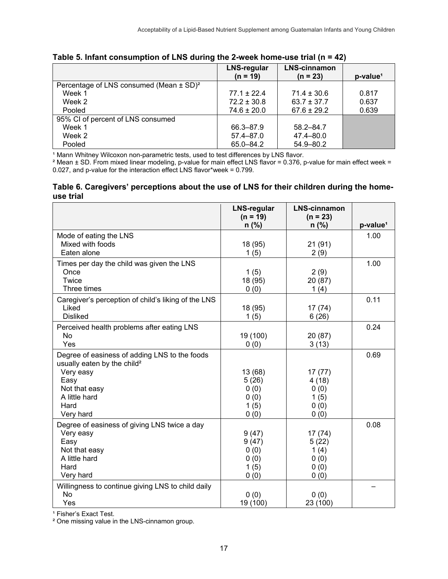|                                                         | <b>LNS-regular</b><br>$(n = 19)$ | <b>LNS-cinnamon</b><br>$(n = 23)$ | p-value <sup>1</sup> |
|---------------------------------------------------------|----------------------------------|-----------------------------------|----------------------|
| Percentage of LNS consumed (Mean $\pm$ SD) <sup>2</sup> |                                  |                                   |                      |
| Week 1                                                  | $77.1 \pm 22.4$                  | $71.4 \pm 30.6$                   | 0.817                |
| Week 2                                                  | $72.2 \pm 30.8$                  | $63.7 \pm 37.7$                   | 0.637                |
| Pooled                                                  | $74.6 \pm 20.0$                  | $67.6 \pm 29.2$                   | 0.639                |
| 95% CI of percent of LNS consumed                       |                                  |                                   |                      |
| Week 1                                                  | 66.3-87.9                        | $58.2 - 84.7$                     |                      |
| Week 2                                                  | 57.4-87.0                        | 47.4-80.0                         |                      |
| Pooled                                                  | 65.0-84.2                        | 54.9-80.2                         |                      |

**Table 5. Infant consumption of LNS during the 2-week home-use trial (n = 42)** 

<sup>1</sup> Mann Whitney Wilcoxon non-parametric tests, used to test differences by LNS flavor.

² Mean ± SD. From mixed linear modeling, p-value for main effect LNS flavor = 0.376, p-value for main effect week = 0.027, and p-value for the interaction effect LNS flavor\*week = 0.799.

#### **Table 6. Caregivers' perceptions about the use of LNS for their children during the homeuse trial**

|                                                     | <b>LNS-regular</b><br>$(n = 19)$ | <b>LNS-cinnamon</b><br>$(n = 23)$ |                      |
|-----------------------------------------------------|----------------------------------|-----------------------------------|----------------------|
|                                                     | $n$ (%)                          | $n$ (%)                           | p-value <sup>1</sup> |
| Mode of eating the LNS                              |                                  |                                   | 1.00                 |
| Mixed with foods                                    | 18 (95)                          | 21(91)                            |                      |
| Eaten alone                                         | 1(5)                             | 2(9)                              |                      |
| Times per day the child was given the LNS           |                                  |                                   | 1.00                 |
| Once                                                | 1(5)                             | 2(9)                              |                      |
| Twice                                               | 18 (95)                          | 20 (87)                           |                      |
| Three times                                         | 0(0)                             | 1(4)                              |                      |
| Caregiver's perception of child's liking of the LNS |                                  |                                   | 0.11                 |
| Liked                                               | 18 (95)                          | 17 (74)                           |                      |
| <b>Disliked</b>                                     | 1(5)                             | 6(26)                             |                      |
| Perceived health problems after eating LNS          |                                  |                                   | 0.24                 |
| <b>No</b>                                           | 19 (100)                         | 20 (87)                           |                      |
| Yes                                                 | 0(0)                             | 3(13)                             |                      |
| Degree of easiness of adding LNS to the foods       |                                  |                                   | 0.69                 |
| usually eaten by the child <sup>2</sup>             |                                  |                                   |                      |
| Very easy                                           | 13 (68)                          | 17(77)                            |                      |
| Easy                                                | 5(26)                            | 4(18)                             |                      |
| Not that easy                                       | 0(0)                             | 0(0)                              |                      |
| A little hard                                       | 0(0)                             | 1(5)                              |                      |
| Hard                                                | 1(5)                             | 0(0)                              |                      |
| Very hard                                           | 0(0)                             | 0(0)                              |                      |
| Degree of easiness of giving LNS twice a day        |                                  |                                   | 0.08                 |
| Very easy                                           | 9(47)                            | 17(74)                            |                      |
| Easy                                                | 9(47)                            | 5(22)                             |                      |
| Not that easy                                       | 0(0)                             | 1(4)                              |                      |
| A little hard                                       | 0(0)                             | 0(0)                              |                      |
| Hard                                                | 1(5)                             | 0(0)                              |                      |
| Very hard                                           | 0(0)                             | 0(0)                              |                      |
| Willingness to continue giving LNS to child daily   |                                  |                                   |                      |
| N <sub>o</sub>                                      | 0(0)                             | 0(0)                              |                      |
| Yes                                                 | 19 (100)                         | 23 (100)                          |                      |

<sup>1</sup> Fisher's Exact Test.

² One missing value in the LNS-cinnamon group.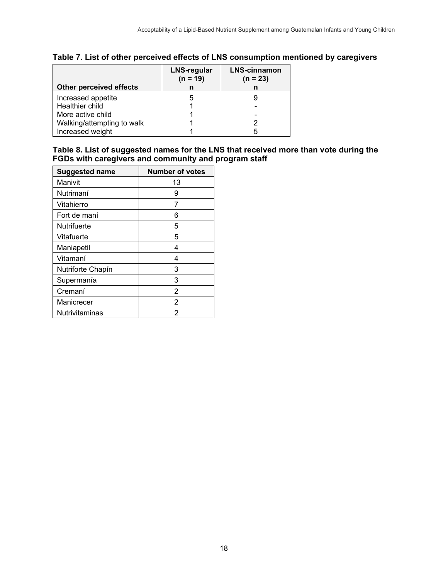|                            | <b>LNS-regular</b><br>$(n = 19)$ | <b>LNS-cinnamon</b><br>$(n = 23)$ |
|----------------------------|----------------------------------|-----------------------------------|
| Other perceived effects    |                                  |                                   |
| Increased appetite         |                                  |                                   |
| Healthier child            |                                  |                                   |
| More active child          |                                  |                                   |
| Walking/attempting to walk |                                  |                                   |
| Increased weight           |                                  | 5                                 |

## **Table 7. List of other perceived effects of LNS consumption mentioned by caregivers**

| Table 8. List of suggested names for the LNS that received more than vote during the |
|--------------------------------------------------------------------------------------|
| FGDs with caregivers and community and program staff                                 |

| <b>Suggested name</b> | <b>Number of votes</b> |
|-----------------------|------------------------|
| Manivit               | 13                     |
| Nutrimaní             | 9                      |
| Vitahierro            | 7                      |
| Fort de maní          | 6                      |
| <b>Nutrifuerte</b>    | 5                      |
| Vitafuerte            | 5                      |
| Maniapetil            | 4                      |
| Vitamaní              | 4                      |
| Nutriforte Chapín     | 3                      |
| Supermanía            | 3                      |
| Cremaní               | 2                      |
| Manicrecer            | 2                      |
| Nutrivitaminas        | 2                      |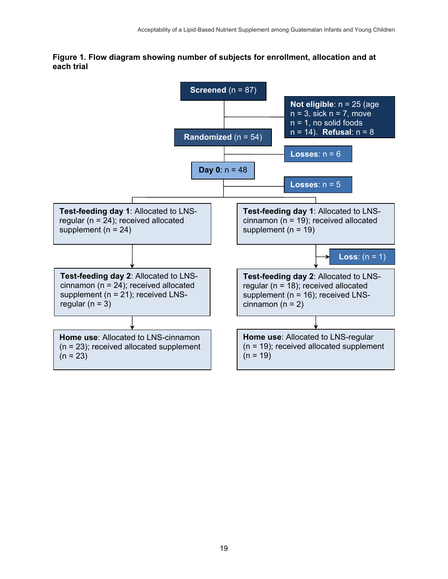**Figure 1. Flow diagram showing number of subjects for enrollment, allocation and at each trial** 

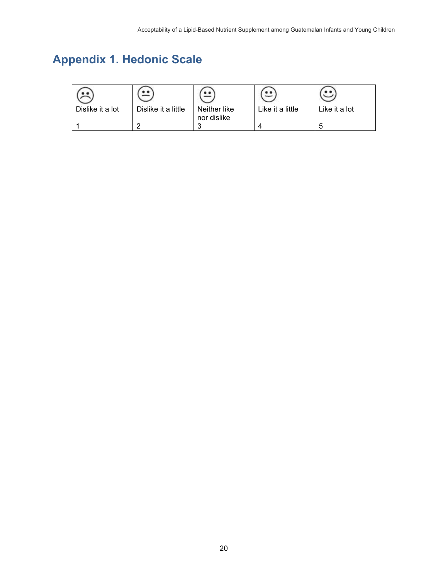# **Appendix 1. Hedonic Scale**

| Dislike it a lot | Dislike it a little | Neither like<br>nor dislike | Like it a little | Like it a lot |
|------------------|---------------------|-----------------------------|------------------|---------------|
|                  |                     |                             |                  |               |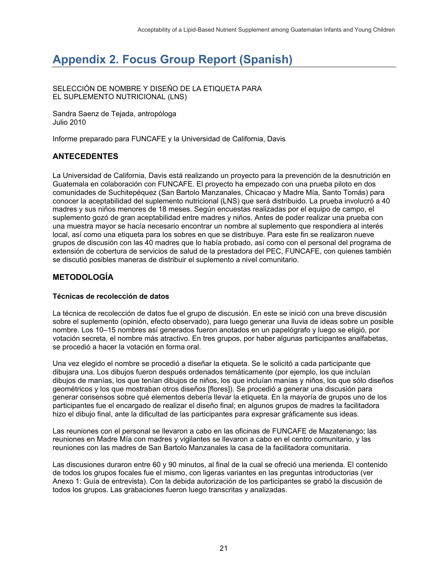# **Appendix 2. Focus Group Report (Spanish)**

SELECCIÓN DE NOMBRE Y DISEÑO DE LA ETIQUETA PARA EL SUPLEMENTO NUTRICIONAL (LNS)

Sandra Saenz de Tejada, antropóloga Julio 2010

Informe preparado para FUNCAFE y la Universidad de California, Davis

#### **ANTECEDENTES**

La Universidad de California, Davis está realizando un proyecto para la prevención de la desnutrición en Guatemala en colaboración con FUNCAFE. El proyecto ha empezado con una prueba piloto en dos comunidades de Suchitepéquez (San Bartolo Manzanales, Chicacao y Madre Mía, Santo Tomás) para conocer la aceptabilidad del suplemento nutricional (LNS) que será distribuido. La prueba involucró a 40 madres y sus niños menores de 18 meses. Según encuestas realizadas por el equipo de campo, el suplemento gozó de gran aceptabilidad entre madres y niños. Antes de poder realizar una prueba con una muestra mayor se hacía necesario encontrar un nombre al suplemento que respondiera al interés local, así como una etiqueta para los sobres en que se distribuye. Para este fin se realizaron nueve grupos de discusión con las 40 madres que lo había probado, así como con el personal del programa de extensión de cobertura de servicios de salud de la prestadora del PEC, FUNCAFE, con quienes también se discutió posibles maneras de distribuir el suplemento a nivel comunitario.

#### **METODOLOGÍA**

#### **Técnicas de recolección de datos**

La técnica de recolección de datos fue el grupo de discusión. En este se inició con una breve discusión sobre el suplemento (opinión, efecto observado), para luego generar una lluvia de ideas sobre un posible nombre. Los 10–15 nombres así generados fueron anotados en un papelógrafo y luego se eligió, por votación secreta, el nombre más atractivo. En tres grupos, por haber algunas participantes analfabetas, se procedió a hacer la votación en forma oral.

Una vez elegido el nombre se procedió a diseñar la etiqueta. Se le solicitó a cada participante que dibujara una. Los dibujos fueron después ordenados temáticamente (por ejemplo, los que incluían dibujos de manías, los que tenían dibujos de niños, los que incluían manías y niños, los que sólo diseños geométricos y los que mostraban otros diseños [flores]). Se procedió a generar una discusión para generar consensos sobre qué elementos debería llevar la etiqueta. En la mayoría de grupos uno de los participantes fue el encargado de realizar el diseño final; en algunos grupos de madres la facilitadora hizo el dibujo final, ante la dificultad de las participantes para expresar gráficamente sus ideas.

Las reuniones con el personal se llevaron a cabo en las oficinas de FUNCAFE de Mazatenango; las reuniones en Madre Mía con madres y vigilantes se llevaron a cabo en el centro comunitario, y las reuniones con las madres de San Bartolo Manzanales la casa de la facilitadora comunitaria.

Las discusiones duraron entre 60 y 90 minutos, al final de la cual se ofreció una merienda. El contenido de todos los grupos focales fue el mismo, con ligeras variantes en las preguntas introductorias (ver Anexo 1: Guía de entrevista). Con la debida autorización de los participantes se grabó la discusión de todos los grupos. Las grabaciones fueron luego transcritas y analizadas.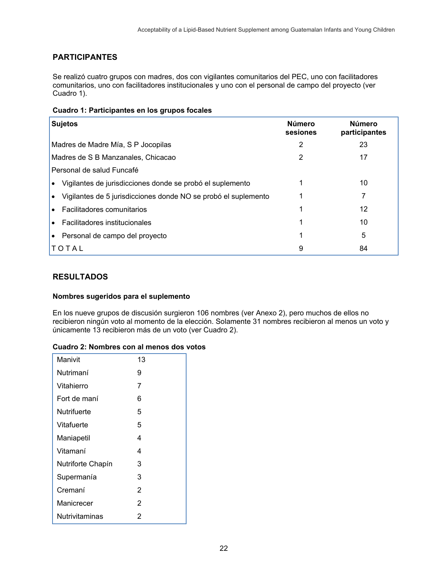## **PARTICIPANTES**

Se realizó cuatro grupos con madres, dos con vigilantes comunitarios del PEC, uno con facilitadores comunitarios, uno con facilitadores institucionales y uno con el personal de campo del proyecto (ver Cuadro 1).

| <b>Sujetos</b>                                                              | <b>Número</b><br>sesiones | <b>Número</b><br>participantes |
|-----------------------------------------------------------------------------|---------------------------|--------------------------------|
| Madres de Madre Mía, S P Jocopilas                                          | 2                         | 23                             |
| Madres de S B Manzanales, Chicacao                                          | 2                         | 17                             |
| Personal de salud Funcafé                                                   |                           |                                |
| Vigilantes de jurisdicciones donde se probó el suplemento<br>$\bullet$      |                           | 10                             |
| Vigilantes de 5 jurisdicciones donde NO se probó el suplemento<br>$\bullet$ |                           |                                |
| Facilitadores comunitarios<br>$\bullet$                                     |                           | 12                             |
| Facilitadores institucionales                                               |                           | 10                             |
| Personal de campo del proyecto                                              |                           | 5                              |
| TOTAL                                                                       | 9                         | 84                             |

#### **RESULTADOS**

#### **Nombres sugeridos para el suplemento**

En los nueve grupos de discusión surgieron 106 nombres (ver Anexo 2), pero muchos de ellos no recibieron ningún voto al momento de la elección. Solamente 31 nombres recibieron al menos un voto y únicamente 13 recibieron más de un voto (ver Cuadro 2).

#### **Cuadro 2: Nombres con al menos dos votos**

| Manivit           | 13 |
|-------------------|----|
| Nutrimaní         | 9  |
| Vitahierro        | 7  |
| Fort de maní      | 6  |
| Nutrifuerte       | 5  |
| Vitafuerte        | 5  |
| Maniapetil        | 4  |
| Vitamaní          | 4  |
| Nutriforte Chapín | 3  |
| Supermanía        | 3  |
| Cremaní           | 2  |
| Manicrecer        | 2  |
| Nutrivitaminas    | 2  |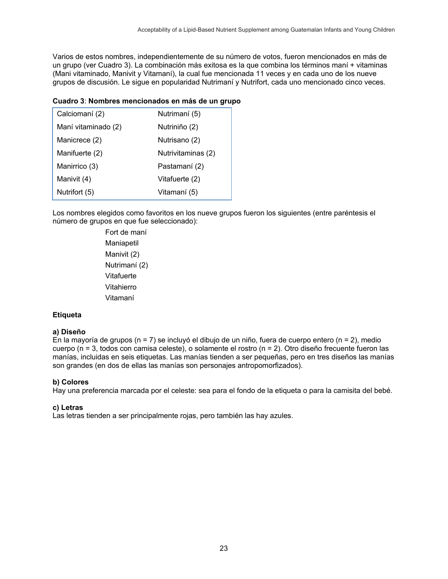Varios de estos nombres, independientemente de su número de votos, fueron mencionados en más de un grupo (ver Cuadro 3). La combinación más exitosa es la que combina los términos maní + vitaminas (Mani vitaminado, Manivit y Vitamaní), la cual fue mencionada 11 veces y en cada uno de los nueve grupos de discusión. Le sigue en popularidad Nutrimaní y Nutrifort, cada uno mencionado cinco veces.

#### **Cuadro 3**: **Nombres mencionados en más de un grupo**

| Calciomaní (2)      | Nutrimaní (5)      |
|---------------------|--------------------|
| Maní vitaminado (2) | Nutriniño (2)      |
| Manicrece (2)       | Nutrisano (2)      |
| Manifuerte (2)      | Nutrivitaminas (2) |
| Manirrico (3)       | Pastamaní (2)      |
| Manivit (4)         | Vitafuerte (2)     |
| Nutrifort (5)       | Vitamaní (5)       |

Los nombres elegidos como favoritos en los nueve grupos fueron los siguientes (entre paréntesis el número de grupos en que fue seleccionado):

> Fort de maní **Maniapetil** Manivit (2) Nutrimaní (2) Vitafuerte Vitahierro Vitamaní

#### **Etiqueta**

#### **a) Diseño**

En la mayoría de grupos (n = 7) se incluyó el dibujo de un niño, fuera de cuerpo entero (n = 2), medio cuerpo (n = 3, todos con camisa celeste), o solamente el rostro (n = 2). Otro diseño frecuente fueron las manías, incluidas en seis etiquetas. Las manías tienden a ser pequeñas, pero en tres diseños las manías son grandes (en dos de ellas las manías son personajes antropomorfizados).

#### **b) Colores**

Hay una preferencia marcada por el celeste: sea para el fondo de la etiqueta o para la camisita del bebé.

#### **c) Letras**

Las letras tienden a ser principalmente rojas, pero también las hay azules.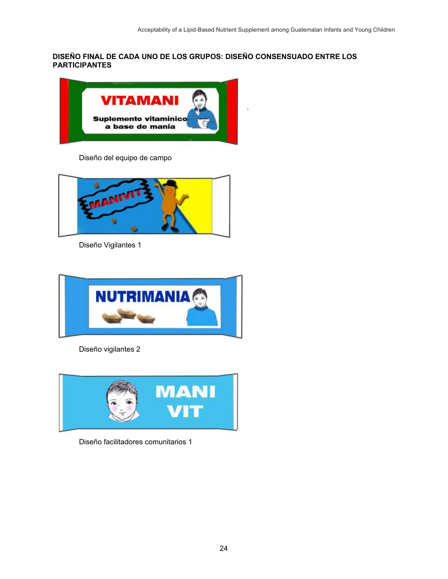**DISEÑO FINAL DE CADA UNO DE LOS GRUPOS: DISEÑO CONSENSUADO ENTRE LOS PARTICIPANTES** 



Diseño del equipo de campo



Diseño Vigilantes 1



Diseño vigilantes 2



Diseño facilitadores comunitarios 1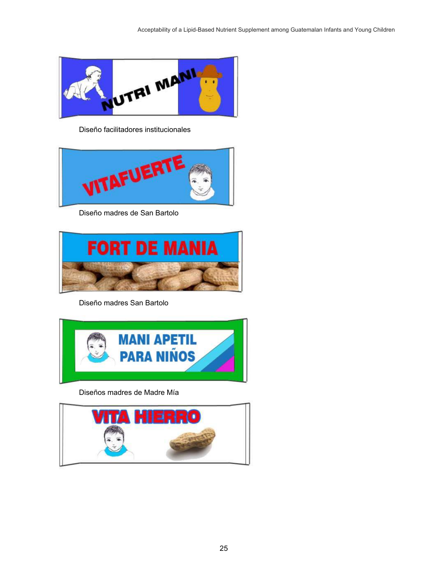

Diseño facilitadores institucionales



Diseño madres de San Bartolo



Diseño madres San Bartolo



Diseños madres de Madre Mía

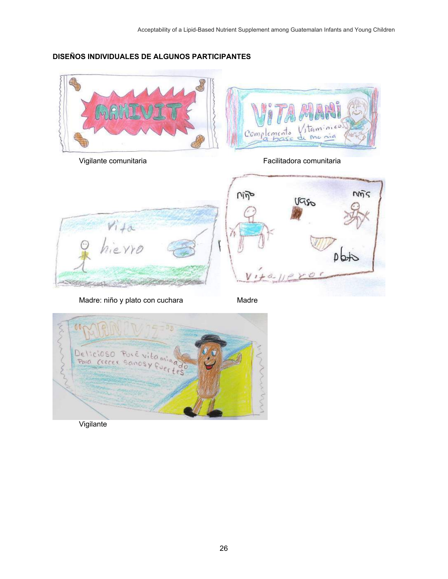#### **DISEÑOS INDIVIDUALES DE ALGUNOS PARTICIPANTES**







Vigilante comunitaria Facilitadora comunitaria



Madre: niño y plato con cuchara **Madre** Madre



Vigilante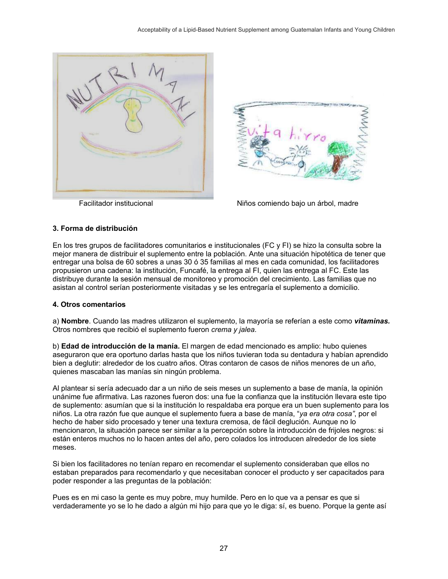



Facilitador institucional Niños comiendo bajo un árbol, madre

#### **3. Forma de distribución**

En los tres grupos de facilitadores comunitarios e institucionales (FC y FI) se hizo la consulta sobre la mejor manera de distribuir el suplemento entre la población. Ante una situación hipotética de tener que entregar una bolsa de 60 sobres a unas 30 ó 35 familias al mes en cada comunidad, los facilitadores propusieron una cadena: la institución, Funcafé, la entrega al FI, quien las entrega al FC. Este las distribuye durante la sesión mensual de monitoreo y promoción del crecimiento. Las familias que no asistan al control serían posteriormente visitadas y se les entregaría el suplemento a domicilio.

#### **4. Otros comentarios**

a) **Nombre**. Cuando las madres utilizaron el suplemento, la mayoría se referían a este como *vitaminas.*  Otros nombres que recibió el suplemento fueron *crema y jalea.*

b) **Edad de introducción de la manía.** El margen de edad mencionado es amplio: hubo quienes aseguraron que era oportuno darlas hasta que los niños tuvieran toda su dentadura y habían aprendido bien a deglutir: alrededor de los cuatro años. Otras contaron de casos de niños menores de un año, quienes mascaban las manías sin ningún problema.

Al plantear si sería adecuado dar a un niño de seis meses un suplemento a base de manía, la opinión unánime fue afirmativa. Las razones fueron dos: una fue la confianza que la institución llevara este tipo de suplemento: asumían que si la institución lo respaldaba era porque era un buen suplemento para los niños. La otra razón fue que aunque el suplemento fuera a base de manía, "*ya era otra cosa"*, por el hecho de haber sido procesado y tener una textura cremosa, de fácil deglución. Aunque no lo mencionaron, la situación parece ser similar a la percepción sobre la introducción de frijoles negros: si están enteros muchos no lo hacen antes del año, pero colados los introducen alrededor de los siete meses.

Si bien los facilitadores no tenían reparo en recomendar el suplemento consideraban que ellos no estaban preparados para recomendarlo y que necesitaban conocer el producto y ser capacitados para poder responder a las preguntas de la población:

Pues es en mi caso la gente es muy pobre, muy humilde. Pero en lo que va a pensar es que si verdaderamente yo se lo he dado a algún mi hijo para que yo le diga: sí, es bueno. Porque la gente así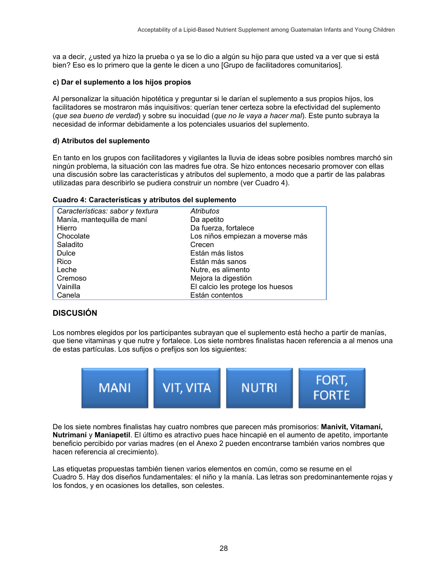va a decir, ¿usted ya hizo la prueba o ya se lo dio a algún su hijo para que usted va a ver que si está bien? Eso es lo primero que la gente le dicen a uno [Grupo de facilitadores comunitarios].

#### **c) Dar el suplemento a los hijos propios**

Al personalizar la situación hipotética y preguntar si le darían el suplemento a sus propios hijos, los facilitadores se mostraron más inquisitivos: querían tener certeza sobre la efectividad del suplemento (*que sea bueno de verdad*) y sobre su inocuidad (*que no le vaya a hacer mal*). Este punto subraya la necesidad de informar debidamente a los potenciales usuarios del suplemento.

#### **d) Atributos del suplemento**

En tanto en los grupos con facilitadores y vigilantes la lluvia de ideas sobre posibles nombres marchó sin ningún problema, la situación con las madres fue otra. Se hizo entonces necesario promover con ellas una discusión sobre las características y atributos del suplemento, a modo que a partir de las palabras utilizadas para describirlo se pudiera construir un nombre (ver Cuadro 4).

|  | Cuadro 4: Características y atributos del suplemento |
|--|------------------------------------------------------|
|--|------------------------------------------------------|

| Atributos                        |
|----------------------------------|
| Da apetito                       |
| Da fuerza, fortalece             |
| Los niños empiezan a moverse más |
| Crecen                           |
| Están más listos                 |
| Están más sanos                  |
| Nutre, es alimento               |
| Mejora la digestión              |
| El calcio les protege los huesos |
| Están contentos                  |
|                                  |

### **DISCUSIÓN**

Los nombres elegidos por los participantes subrayan que el suplemento está hecho a partir de manías, que tiene vitaminas y que nutre y fortalece. Los siete nombres finalistas hacen referencia a al menos una de estas partículas. Los sufijos o prefijos son los siguientes:



De los siete nombres finalistas hay cuatro nombres que parecen más promisorios: **Manivit, Vitamaní, Nutrimaní** y **Maniapetil**. El último es atractivo pues hace hincapié en el aumento de apetito, importante beneficio percibido por varias madres (en el Anexo 2 pueden encontrarse también varios nombres que hacen referencia al crecimiento).

Las etiquetas propuestas también tienen varios elementos en común, como se resume en el Cuadro 5. Hay dos diseños fundamentales: el niño y la manía. Las letras son predominantemente rojas y los fondos, y en ocasiones los detalles, son celestes.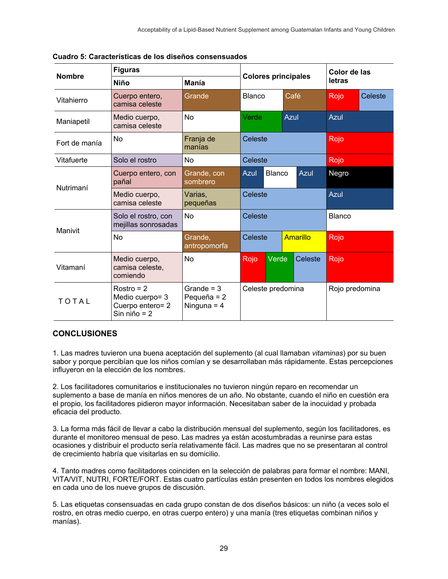| <b>Nombre</b> | <b>Figuras</b>                                                        |                                                | <b>Colores principales</b>    |  |                | Color de las  |      |         |
|---------------|-----------------------------------------------------------------------|------------------------------------------------|-------------------------------|--|----------------|---------------|------|---------|
|               | <b>Niño</b>                                                           | <b>Manía</b>                                   |                               |  |                | letras        |      |         |
| Vitahierro    | Cuerpo entero,<br>camisa celeste                                      | Grande                                         | <b>Blanco</b>                 |  | Café           |               | Rojo | Celeste |
| Maniapetil    | Medio cuerpo,<br>camisa celeste                                       | <b>No</b>                                      | Verde                         |  | Azul           |               | Azul |         |
| Fort de manía | No                                                                    | Franja de<br>manías                            | Celeste                       |  |                | Rojo          |      |         |
| Vitafuerte    | Solo el rostro                                                        | <b>No</b>                                      | Celeste                       |  |                | Rojo          |      |         |
| Nutrimaní     | Cuerpo entero, con<br>pañal                                           | Grande, con<br>sombrero                        | Blanco<br><b>Azul</b><br>Azul |  |                | Negro         |      |         |
|               | Medio cuerpo,<br>camisa celeste                                       | Varias,<br>pequeñas                            | Celeste                       |  |                | Azul          |      |         |
| Manivit       | Solo el rostro, con<br>mejillas sonrosadas                            | N <sub>0</sub>                                 | Celeste                       |  |                | <b>Blanco</b> |      |         |
|               | <b>No</b>                                                             | Grande,<br>antropomorfa                        | Celeste<br><b>Amarillo</b>    |  | Rojo           |               |      |         |
| Vitamaní      | Medio cuerpo,<br>camisa celeste,<br>comiendo                          | <b>No</b>                                      | Verde<br>Rojo                 |  | Celeste        |               | Rojo |         |
| TOTAL         | $Rostro = 2$<br>Medio cuerpo= 3<br>Cuerpo entero= 2<br>Sin niño = $2$ | Grande = $3$<br>Pequeña = $2$<br>Ninguna = $4$ | Celeste predomina             |  | Rojo predomina |               |      |         |

**Cuadro 5: Características de los diseños consensuados** 

### **CONCLUSIONES**

1. Las madres tuvieron una buena aceptación del suplemento (al cual llamaban *vitaminas*) por su buen sabor y porque percibían que los niños comían y se desarrollaban más rápidamente. Estas percepciones influyeron en la elección de los nombres.

2. Los facilitadores comunitarios e institucionales no tuvieron ningún reparo en recomendar un suplemento a base de manía en niños menores de un año. No obstante, cuando el niño en cuestión era el propio, los facilitadores pidieron mayor información. Necesitaban saber de la inocuidad y probada eficacia del producto.

3. La forma más fácil de llevar a cabo la distribución mensual del suplemento, según los facilitadores, es durante el monitoreo mensual de peso. Las madres ya están acostumbradas a reunirse para estas ocasiones y distribuir el producto sería relativamente fácil. Las madres que no se presentaran al control de crecimiento habría que visitarlas en su domicilio.

4. Tanto madres como facilitadores coinciden en la selección de palabras para formar el nombre: MANI, VITA/VIT, NUTRI, FORTE/FORT. Estas cuatro partículas están presenten en todos los nombres elegidos en cada uno de los nueve grupos de discusión.

5. Las etiquetas consensuadas en cada grupo constan de dos diseños básicos: un niño (a veces solo el rostro, en otras medio cuerpo, en otras cuerpo entero) y una manía (tres etiquetas combinan niños y manías).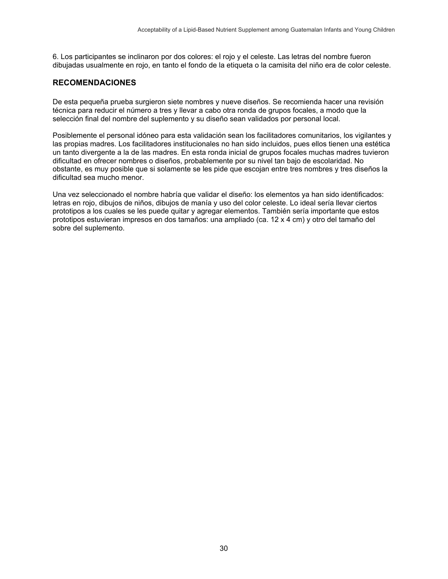6. Los participantes se inclinaron por dos colores: el rojo y el celeste. Las letras del nombre fueron dibujadas usualmente en rojo, en tanto el fondo de la etiqueta o la camisita del niño era de color celeste.

#### **RECOMENDACIONES**

De esta pequeña prueba surgieron siete nombres y nueve diseños. Se recomienda hacer una revisión técnica para reducir el número a tres y llevar a cabo otra ronda de grupos focales, a modo que la selección final del nombre del suplemento y su diseño sean validados por personal local.

Posiblemente el personal idóneo para esta validación sean los facilitadores comunitarios, los vigilantes y las propias madres. Los facilitadores institucionales no han sido incluidos, pues ellos tienen una estética un tanto divergente a la de las madres. En esta ronda inicial de grupos focales muchas madres tuvieron dificultad en ofrecer nombres o diseños, probablemente por su nivel tan bajo de escolaridad. No obstante, es muy posible que si solamente se les pide que escojan entre tres nombres y tres diseños la dificultad sea mucho menor.

Una vez seleccionado el nombre habría que validar el diseño: los elementos ya han sido identificados: letras en rojo, dibujos de niños, dibujos de manía y uso del color celeste. Lo ideal sería llevar ciertos prototipos a los cuales se les puede quitar y agregar elementos. También sería importante que estos prototipos estuvieran impresos en dos tamaños: una ampliado (ca. 12 x 4 cm) y otro del tamaño del sobre del suplemento.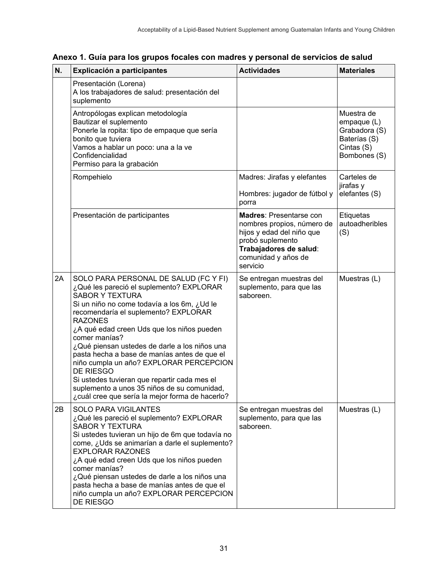| N. | <b>Actividades</b><br>Explicación a participantes                                                                                                                                                                                                                                                                                                                                                                                                                                                                                                                                              |                                                                                                                                                                            | <b>Materiales</b>                                                                        |
|----|------------------------------------------------------------------------------------------------------------------------------------------------------------------------------------------------------------------------------------------------------------------------------------------------------------------------------------------------------------------------------------------------------------------------------------------------------------------------------------------------------------------------------------------------------------------------------------------------|----------------------------------------------------------------------------------------------------------------------------------------------------------------------------|------------------------------------------------------------------------------------------|
|    | Presentación (Lorena)<br>A los trabajadores de salud: presentación del<br>suplemento                                                                                                                                                                                                                                                                                                                                                                                                                                                                                                           |                                                                                                                                                                            |                                                                                          |
|    | Antropólogas explican metodología<br>Bautizar el suplemento<br>Ponerle la ropita: tipo de empaque que sería<br>bonito que tuviera<br>Vamos a hablar un poco: una a la ve<br>Confidencialidad<br>Permiso para la grabación                                                                                                                                                                                                                                                                                                                                                                      |                                                                                                                                                                            | Muestra de<br>empaque (L)<br>Grabadora (S)<br>Baterías (S)<br>Cintas (S)<br>Bombones (S) |
|    | Rompehielo<br>Madres: Jirafas y elefantes<br>Hombres: jugador de fútbol y<br>porra                                                                                                                                                                                                                                                                                                                                                                                                                                                                                                             |                                                                                                                                                                            | Carteles de<br>jirafas y<br>elefantes (S)                                                |
|    | Presentación de participantes                                                                                                                                                                                                                                                                                                                                                                                                                                                                                                                                                                  | <b>Madres: Presentarse con</b><br>nombres propios, número de<br>hijos y edad del niño que<br>probó suplemento<br>Trabajadores de salud:<br>comunidad y años de<br>servicio | Etiquetas<br>autoadheribles<br>(S)                                                       |
| 2A | SOLO PARA PERSONAL DE SALUD (FC Y FI)<br>¿Qué les pareció el suplemento? EXPLORAR<br><b>SABOR Y TEXTURA</b><br>Si un niño no come todavía a los 6m, ¿Ud le<br>recomendaría el suplemento? EXPLORAR<br><b>RAZONES</b><br>¿A qué edad creen Uds que los niños pueden<br>comer manías?<br>¿Qué piensan ustedes de darle a los niños una<br>pasta hecha a base de manías antes de que el<br>niño cumpla un año? EXPLORAR PERCEPCION<br>DE RIESGO<br>Si ustedes tuvieran que repartir cada mes el<br>suplemento a unos 35 niños de su comunidad,<br>¿cuál cree que sería la mejor forma de hacerlo? | Se entregan muestras del<br>suplemento, para que las<br>saboreen.                                                                                                          | Muestras (L)                                                                             |
| 2B | <b>SOLO PARA VIGILANTES</b><br>¿Qué les pareció el suplemento? EXPLORAR<br><b>SABOR Y TEXTURA</b><br>Si ustedes tuvieran un hijo de 6m que todavía no<br>come, ¿Uds se animarían a darle el suplemento?<br><b>EXPLORAR RAZONES</b><br>¿A qué edad creen Uds que los niños pueden<br>comer manías?<br>¿Qué piensan ustedes de darle a los niños una<br>pasta hecha a base de manías antes de que el<br>niño cumpla un año? EXPLORAR PERCEPCION<br>DE RIESGO                                                                                                                                     | Se entregan muestras del<br>suplemento, para que las<br>saboreen.                                                                                                          | Muestras (L)                                                                             |

## **Anexo 1. Guía para los grupos focales con madres y personal de servicios de salud**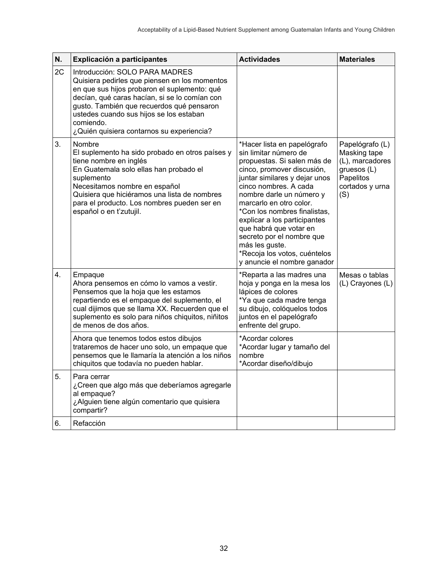| N. | Explicación a participantes                                                                                                                                                                                                                                                                                                        | <b>Actividades</b>                                                                                                                                                                                                                                                                                                                                                                                                                         | <b>Materiales</b>                                                                                        |
|----|------------------------------------------------------------------------------------------------------------------------------------------------------------------------------------------------------------------------------------------------------------------------------------------------------------------------------------|--------------------------------------------------------------------------------------------------------------------------------------------------------------------------------------------------------------------------------------------------------------------------------------------------------------------------------------------------------------------------------------------------------------------------------------------|----------------------------------------------------------------------------------------------------------|
| 2C | Introducción: SOLO PARA MADRES<br>Quisiera pedirles que piensen en los momentos<br>en que sus hijos probaron el suplemento: qué<br>decían, qué caras hacían, si se lo comían con<br>gusto. También que recuerdos qué pensaron<br>ustedes cuando sus hijos se los estaban<br>comiendo.<br>¿Quién quisiera contarnos su experiencia? |                                                                                                                                                                                                                                                                                                                                                                                                                                            |                                                                                                          |
| 3. | <b>Nombre</b><br>El suplemento ha sido probado en otros países y<br>tiene nombre en inglés<br>En Guatemala solo ellas han probado el<br>suplemento<br>Necesitamos nombre en español<br>Quisiera que hiciéramos una lista de nombres<br>para el producto. Los nombres pueden ser en<br>español o en t'zutujil.                      | *Hacer lista en papelógrafo<br>sin limitar número de<br>propuestas. Si salen más de<br>cinco, promover discusión,<br>juntar similares y dejar unos<br>cinco nombres. A cada<br>nombre darle un número y<br>marcarlo en otro color.<br>*Con los nombres finalistas,<br>explicar a los participantes<br>que habrá que votar en<br>secreto por el nombre que<br>más les guste.<br>*Recoja los votos, cuéntelos<br>y anuncie el nombre ganador | Papelógrafo (L)<br>Masking tape<br>(L), marcadores<br>gruesos (L)<br>Papelitos<br>cortados y urna<br>(S) |
| 4. | Empaque<br>Ahora pensemos en cómo lo vamos a vestir.<br>Pensemos que la hoja que les estamos<br>repartiendo es el empaque del suplemento, el<br>cual dijimos que se llama XX. Recuerden que el<br>suplemento es solo para niños chiquitos, niñitos<br>de menos de dos años.                                                        | *Reparta a las madres una<br>hoja y ponga en la mesa los<br>lápices de colores<br>*Ya que cada madre tenga<br>su dibujo, colóquelos todos<br>juntos en el papelógrafo<br>enfrente del grupo.                                                                                                                                                                                                                                               | Mesas o tablas<br>(L) Crayones (L)                                                                       |
|    | Ahora que tenemos todos estos dibujos<br>trataremos de hacer uno solo, un empaque que<br>pensemos que le llamaría la atención a los niños<br>chiquitos que todavía no pueden hablar.                                                                                                                                               | *Acordar colores<br>*Acordar lugar y tamaño del<br>nombre<br>*Acordar diseño/dibujo                                                                                                                                                                                                                                                                                                                                                        |                                                                                                          |
| 5. | Para cerrar<br>¿Creen que algo más que deberíamos agregarle<br>al empaque?<br>¿Alguien tiene algún comentario que quisiera<br>compartir?                                                                                                                                                                                           |                                                                                                                                                                                                                                                                                                                                                                                                                                            |                                                                                                          |
| 6. | Refacción                                                                                                                                                                                                                                                                                                                          |                                                                                                                                                                                                                                                                                                                                                                                                                                            |                                                                                                          |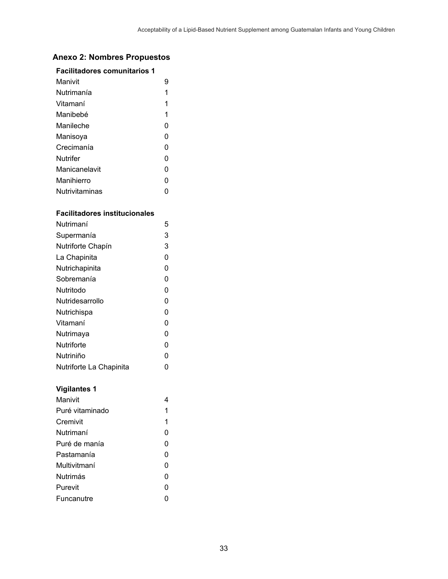## **Anexo 2: Nombres Propuestos**

#### **Facilitadores comunitarios 1**

| Manivit        |   |
|----------------|---|
| Nutrimanía     | 1 |
| Vitamaní       | 1 |
| Manibehé       | 1 |
| Manileche      | 0 |
| Manisoya       | 0 |
| Crecimanía     | ი |
| Nutrifer       | 0 |
| Manicanelavit  | 0 |
| Manihierro     | O |
| Nutrivitaminas |   |

#### **Facilitadores institucionales**

| Nutrimaní               | 5 |
|-------------------------|---|
| Supermanía              | 3 |
| Nutriforte Chapín       | 3 |
| La Chapinita            | 0 |
| Nutrichapinita          | 0 |
| Sobremanía              | 0 |
| Nutritodo               | 0 |
| Nutridesarrollo         | 0 |
| Nutrichispa             | 0 |
| Vitamaní                | 0 |
| Nutrimaya               | 0 |
| Nutriforte              | 0 |
| Nutriniño               | 0 |
| Nutriforte La Chapinita |   |

#### **Vigilantes 1**

| Manivit         |   |
|-----------------|---|
| Puré vitaminado | 1 |
| Cremivit        | 1 |
| Nutrimaní       | 0 |
| Puré de manía   | 0 |
| Pastamanía      | 0 |
| Multivitmaní    | 0 |
| <b>Nutrimás</b> | 0 |
| Purevit         | 0 |
| Funcanutre      |   |
|                 |   |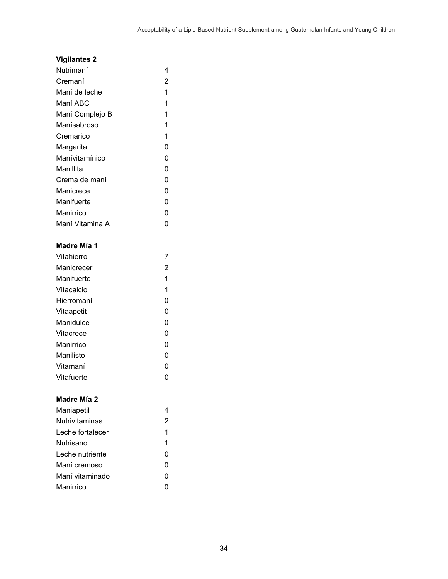## **Vigilantes 2**

| Nutrimaní       | 4 |
|-----------------|---|
| Cremaní         | 2 |
| Maní de leche   | 1 |
| Maní ABC        | 1 |
| Maní Complejo B | 1 |
| Manísabroso     | 1 |
| Cremarico       | 1 |
| Margarita       | 0 |
| Manívitamínico  | 0 |
| Manillita       | 0 |
| Crema de maní   | 0 |
| Manicrece       | 0 |
| Manifuerte      | 0 |
| Manirrico       | 0 |
| Maní Vitamina A |   |

# **Madre Mía 1**

| Vitahierro |   |
|------------|---|
| Manicrecer | 2 |
| Manifuerte | 1 |
| Vitacalcio | 1 |
| Hierromaní | O |
| Vitaapetit | 0 |
| Manidulce  | 0 |
| Vitacrece  | 0 |
| Manirrico  | 0 |
| Manilisto  | 0 |
| Vitamaní   | 0 |
| Vitafuerte |   |

#### **Madre Mía 2**

| Maniapetil            |   |
|-----------------------|---|
| <b>Nutrivitaminas</b> | 2 |
| Leche fortalecer      | 1 |
| Nutrisano             | 1 |
| Leche nutriente       | 0 |
| Maní cremoso          | 0 |
| Maní vitaminado       | O |
| Manirrico             |   |